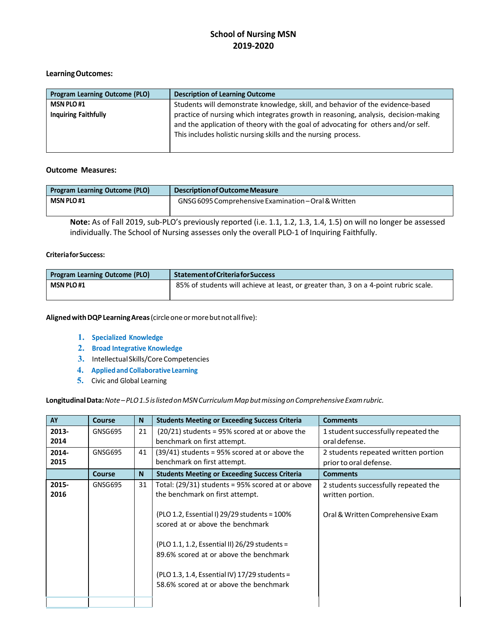#### **LearningOutcomes:**

| <b>Program Learning Outcome (PLO)</b> | <b>Description of Learning Outcome</b>                                                                                                                                                                                                     |
|---------------------------------------|--------------------------------------------------------------------------------------------------------------------------------------------------------------------------------------------------------------------------------------------|
| <b>MSN PLO#1</b>                      | Students will demonstrate knowledge, skill, and behavior of the evidence-based                                                                                                                                                             |
| <b>Inquiring Faithfully</b>           | practice of nursing which integrates growth in reasoning, analysis, decision-making<br>and the application of theory with the goal of advocating for others and/or self.<br>This includes holistic nursing skills and the nursing process. |

#### **Outcome Measures:**

| <b>Program Learning Outcome (PLO)</b> | Description of Outcome Measure                       |
|---------------------------------------|------------------------------------------------------|
| <b>MSN PLO#1</b>                      | GNSG 6095 Comprehensive Examination – Oral & Written |
|                                       |                                                      |

**Note:** As of Fall 2019, sub-PLO's previously reported (i.e. 1.1, 1.2, 1.3, 1.4, 1.5) on will no longer be assessed individually. The School of Nursing assesses only the overall PLO-1 of Inquiring Faithfully.

#### **CriteriaforSuccess:**

| <b>Program Learning Outcome (PLO)</b> | <b>Statement of Criteria for Success</b>                                             |
|---------------------------------------|--------------------------------------------------------------------------------------|
| <b>MSN PLO #1</b>                     | 85% of students will achieve at least, or greater than, 3 on a 4-point rubric scale. |

**AlignedwithDQPLearningAreas**(circleoneormorebutnot allfive):

- **1. Specialized Knowledge**
- **2. Broad Integrative Knowledge**
- **3.** Intellectual Skills/Core Competencies
- **4. Appliedand Collaborative Learning**
- **5.** Civic and Global Learning

Longitudinal Data: Note-PLO1.5 is listed on MSN Curriculum Map but missing on Comprehensive Exam rubric.

| AY            | <b>Course</b> | N  | <b>Students Meeting or Exceeding Success Criteria</b>                                                                                                                                                                                                                                                                                                              | <b>Comments</b>                                                                               |
|---------------|---------------|----|--------------------------------------------------------------------------------------------------------------------------------------------------------------------------------------------------------------------------------------------------------------------------------------------------------------------------------------------------------------------|-----------------------------------------------------------------------------------------------|
| 2013-<br>2014 | GNSG695       | 21 | $(20/21)$ students = 95% scored at or above the<br>benchmark on first attempt.                                                                                                                                                                                                                                                                                     | 1 student successfully repeated the<br>oral defense.                                          |
| 2014-<br>2015 | GNSG695       | 41 | $(39/41)$ students = 95% scored at or above the<br>benchmark on first attempt.                                                                                                                                                                                                                                                                                     | 2 students repeated written portion<br>prior to oral defense.                                 |
|               | Course        | N  | <b>Students Meeting or Exceeding Success Criteria</b>                                                                                                                                                                                                                                                                                                              | <b>Comments</b>                                                                               |
| 2015-<br>2016 | GNSG695       | 31 | Total: $(29/31)$ students = 95% scored at or above<br>the benchmark on first attempt.<br>$($ PLO 1.2, Essential I) 29/29 students = 100%<br>scored at or above the benchmark<br>(PLO 1.1, 1.2, Essential II) 26/29 students =<br>89.6% scored at or above the benchmark<br>(PLO 1.3, 1.4, Essential IV) 17/29 students =<br>58.6% scored at or above the benchmark | 2 students successfully repeated the<br>written portion.<br>Oral & Written Comprehensive Exam |
|               |               |    |                                                                                                                                                                                                                                                                                                                                                                    |                                                                                               |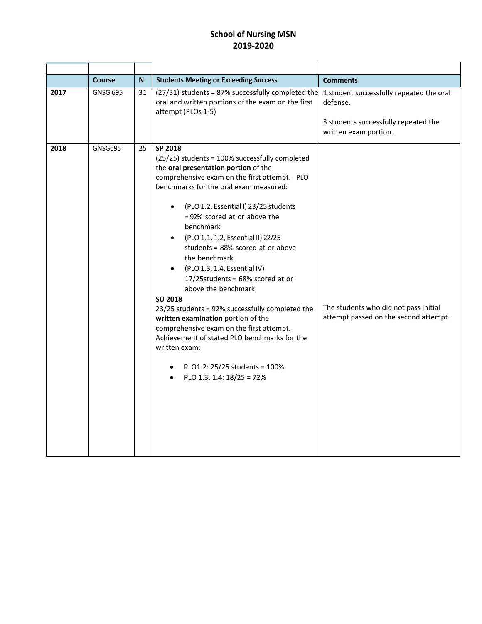|      | <b>Course</b>   | N  | <b>Students Meeting or Exceeding Success</b>                                                                                                                                                                                                                                                                                                                                                                                                                                                                                                                                                                                                                                                                                                                  | <b>Comments</b>                                                                                                       |
|------|-----------------|----|---------------------------------------------------------------------------------------------------------------------------------------------------------------------------------------------------------------------------------------------------------------------------------------------------------------------------------------------------------------------------------------------------------------------------------------------------------------------------------------------------------------------------------------------------------------------------------------------------------------------------------------------------------------------------------------------------------------------------------------------------------------|-----------------------------------------------------------------------------------------------------------------------|
| 2017 | <b>GNSG 695</b> | 31 | (27/31) students = 87% successfully completed the<br>oral and written portions of the exam on the first<br>attempt (PLOs 1-5)                                                                                                                                                                                                                                                                                                                                                                                                                                                                                                                                                                                                                                 | 1 student successfully repeated the oral<br>defense.<br>3 students successfully repeated the<br>written exam portion. |
| 2018 | GNSG695         | 25 | SP 2018<br>(25/25) students = 100% successfully completed<br>the oral presentation portion of the<br>comprehensive exam on the first attempt. PLO<br>benchmarks for the oral exam measured:<br>(PLO 1.2, Essential I) 23/25 students<br>=92% scored at or above the<br>benchmark<br>(PLO 1.1, 1.2, Essential II) 22/25<br>students = 88% scored at or above<br>the benchmark<br>(PLO 1.3, 1.4, Essential IV)<br>17/25students = 68% scored at or<br>above the benchmark<br><b>SU 2018</b><br>23/25 students = 92% successfully completed the<br>written examination portion of the<br>comprehensive exam on the first attempt.<br>Achievement of stated PLO benchmarks for the<br>written exam:<br>PLO1.2: 25/25 students = 100%<br>PLO 1.3, 1.4: 18/25 = 72% | The students who did not pass initial<br>attempt passed on the second attempt.                                        |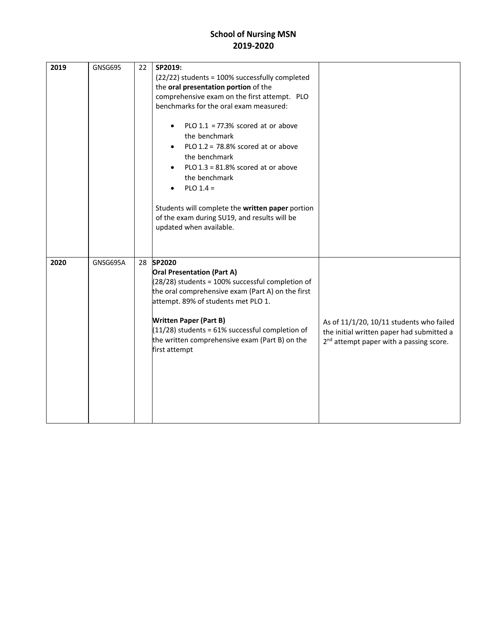| 2019 | <b>GNSG695</b> | 22 | SP2019:<br>(22/22) students = 100% successfully completed<br>the oral presentation portion of the<br>comprehensive exam on the first attempt. PLO<br>benchmarks for the oral exam measured:<br>PLO $1.1 = 77.3\%$ scored at or above<br>$\bullet$<br>the benchmark<br>PLO $1.2 = 78.8\%$ scored at or above<br>the benchmark<br>PLO $1.3 = 81.8\%$ scored at or above<br>the benchmark<br>$PLO$ 1.4 =<br>Students will complete the written paper portion<br>of the exam during SU19, and results will be<br>updated when available. |                                                                                                                                              |
|------|----------------|----|--------------------------------------------------------------------------------------------------------------------------------------------------------------------------------------------------------------------------------------------------------------------------------------------------------------------------------------------------------------------------------------------------------------------------------------------------------------------------------------------------------------------------------------|----------------------------------------------------------------------------------------------------------------------------------------------|
| 2020 | GNSG695A       |    | 28 SP2020<br><b>Oral Presentation (Part A)</b><br>$(28/28)$ students = 100% successful completion of<br>the oral comprehensive exam (Part A) on the first<br>attempt. 89% of students met PLO 1.<br><b>Written Paper (Part B)</b><br>$(11/28)$ students = 61% successful completion of<br>the written comprehensive exam (Part B) on the<br>first attempt                                                                                                                                                                            | As of 11/1/20, 10/11 students who failed<br>the initial written paper had submitted a<br>2 <sup>nd</sup> attempt paper with a passing score. |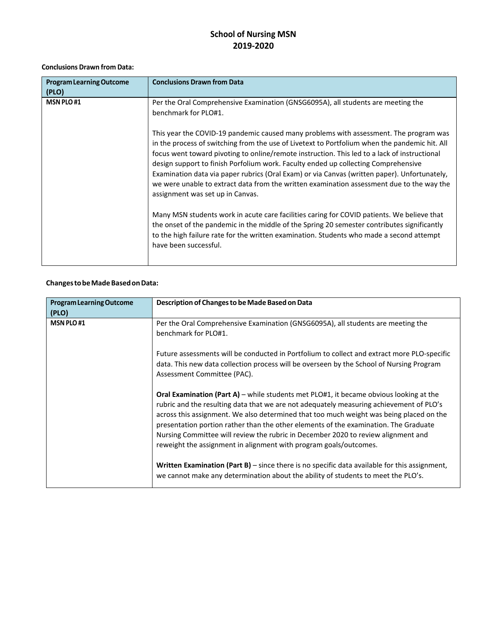#### **Conclusions Drawn from Data:**

| <b>Program Learning Outcome</b><br>(PLO) | <b>Conclusions Drawn from Data</b>                                                                                                                                                                                                                                                                                                                                                                                                                                                                                                                                                                            |
|------------------------------------------|---------------------------------------------------------------------------------------------------------------------------------------------------------------------------------------------------------------------------------------------------------------------------------------------------------------------------------------------------------------------------------------------------------------------------------------------------------------------------------------------------------------------------------------------------------------------------------------------------------------|
| <b>MSN PLO#1</b>                         | Per the Oral Comprehensive Examination (GNSG6095A), all students are meeting the<br>benchmark for PLO#1.                                                                                                                                                                                                                                                                                                                                                                                                                                                                                                      |
|                                          | This year the COVID-19 pandemic caused many problems with assessment. The program was<br>in the process of switching from the use of Livetext to Portfolium when the pandemic hit. All<br>focus went toward pivoting to online/remote instruction. This led to a lack of instructional<br>design support to finish Porfolium work. Faculty ended up collecting Comprehensive<br>Examination data via paper rubrics (Oral Exam) or via Canvas (written paper). Unfortunately,<br>we were unable to extract data from the written examination assessment due to the way the<br>assignment was set up in Canvas. |
|                                          | Many MSN students work in acute care facilities caring for COVID patients. We believe that<br>the onset of the pandemic in the middle of the Spring 20 semester contributes significantly<br>to the high failure rate for the written examination. Students who made a second attempt<br>have been successful.                                                                                                                                                                                                                                                                                                |

### **ChangestobeMadeBasedonData:**

| <b>Program Learning Outcome</b> | Description of Changes to be Made Based on Data                                                                                                                                                                                                                                                                                                                                                                                                                                                                                       |
|---------------------------------|---------------------------------------------------------------------------------------------------------------------------------------------------------------------------------------------------------------------------------------------------------------------------------------------------------------------------------------------------------------------------------------------------------------------------------------------------------------------------------------------------------------------------------------|
| (PLO)                           |                                                                                                                                                                                                                                                                                                                                                                                                                                                                                                                                       |
| <b>MSN PLO#1</b>                | Per the Oral Comprehensive Examination (GNSG6095A), all students are meeting the<br>benchmark for PLO#1.                                                                                                                                                                                                                                                                                                                                                                                                                              |
|                                 | Future assessments will be conducted in Portfolium to collect and extract more PLO-specific<br>data. This new data collection process will be overseen by the School of Nursing Program<br>Assessment Committee (PAC).                                                                                                                                                                                                                                                                                                                |
|                                 | <b>Oral Examination (Part A)</b> – while students met PLO#1, it became obvious looking at the<br>rubric and the resulting data that we are not adequately measuring achievement of PLO's<br>across this assignment. We also determined that too much weight was being placed on the<br>presentation portion rather than the other elements of the examination. The Graduate<br>Nursing Committee will review the rubric in December 2020 to review alignment and<br>reweight the assignment in alignment with program goals/outcomes. |
|                                 | <b>Written Examination (Part B)</b> – since there is no specific data available for this assignment,<br>we cannot make any determination about the ability of students to meet the PLO's.                                                                                                                                                                                                                                                                                                                                             |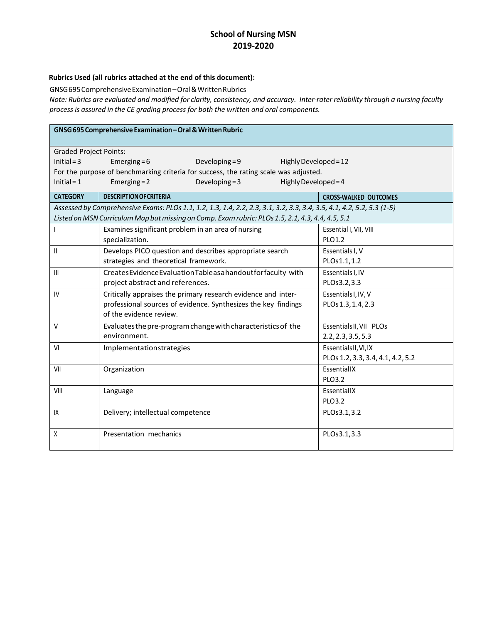#### **RubricsUsed (all rubrics attached at the end of this document):**

GNSG695ComprehensiveExamination–Oral&WrittenRubrics

Note: Rubrics are evaluated and modified for clarity, consistency, and accuracy. Inter-rater reliability through a nursing faculty *process is assured in the CE grading process for both the written and oral components.*

| GNSG 695 Comprehensive Examination - Oral & Written Rubric |                                                                                                                       |                  |                        |                                   |  |
|------------------------------------------------------------|-----------------------------------------------------------------------------------------------------------------------|------------------|------------------------|-----------------------------------|--|
| <b>Graded Project Points:</b>                              |                                                                                                                       |                  |                        |                                   |  |
| $Initial = 3$                                              | Developing = $9$<br>Emerging = $6$<br>Highly Developed = 12                                                           |                  |                        |                                   |  |
|                                                            | For the purpose of benchmarking criteria for success, the rating scale was adjusted.                                  |                  |                        |                                   |  |
| $Initial = 1$                                              | Emerging $= 2$                                                                                                        | Developing = $3$ | Highly Developed = $4$ |                                   |  |
| <b>CATEGORY</b>                                            | <b>DESCRIPTION OF CRITERIA</b>                                                                                        |                  |                        | <b>CROSS-WALKED OUTCOMES</b>      |  |
|                                                            | Assessed by Comprehensive Exams: PLOs 1.1, 1.2, 1.3, 1.4, 2.2, 2.3, 3.1, 3.2, 3.3, 3.4, 3.5, 4.1, 4.2, 5.2, 5.3 (1-5) |                  |                        |                                   |  |
|                                                            | Listed on MSN Curriculum Map but missing on Comp. Exam rubric: PLOs 1.5, 2.1, 4.3, 4.4, 4.5, 5.1                      |                  |                        |                                   |  |
|                                                            | Examines significant problem in an area of nursing                                                                    |                  |                        | Essential I, VII, VIII            |  |
|                                                            | specialization.                                                                                                       |                  |                        | PLO1.2                            |  |
| Ш                                                          | Develops PICO question and describes appropriate search                                                               |                  |                        | Essentials I, V                   |  |
|                                                            | strategies and theoretical framework.                                                                                 |                  |                        | PLOs1.1,1.2                       |  |
| $\mathbf{III}$                                             | Creates Evidence Evaluation Table as a handout for faculty with                                                       |                  |                        | Essentials I, IV                  |  |
|                                                            | project abstract and references.                                                                                      |                  |                        | PLOs3.2,3.3                       |  |
| IV                                                         | Critically appraises the primary research evidence and inter-                                                         |                  |                        | Essentials I, IV, V               |  |
|                                                            | professional sources of evidence. Synthesizes the key findings                                                        |                  |                        | PLOs 1.3, 1.4, 2.3                |  |
|                                                            | of the evidence review.                                                                                               |                  |                        |                                   |  |
| V                                                          | Evaluates the pre-program change with characteristics of the                                                          |                  |                        | Essentials II, VII PLOs           |  |
|                                                            | environment.                                                                                                          |                  |                        | 2.2, 2.3, 3.5, 5.3                |  |
| VI                                                         | Implementationstrategies                                                                                              |                  |                        | EssentialsII, VI, IX              |  |
|                                                            |                                                                                                                       |                  |                        | PLOs 1.2, 3.3, 3.4, 4.1, 4.2, 5.2 |  |
| VII                                                        | Organization                                                                                                          |                  |                        | EssentiallX                       |  |
|                                                            |                                                                                                                       |                  |                        | PLO3.2                            |  |
| VIII                                                       | Language                                                                                                              |                  |                        | EssentiallX                       |  |
|                                                            |                                                                                                                       |                  |                        | PLO3.2                            |  |
| IX                                                         | Delivery; intellectual competence                                                                                     |                  |                        | PLOs3.1,3.2                       |  |
|                                                            |                                                                                                                       |                  |                        |                                   |  |
| X                                                          | Presentation mechanics                                                                                                |                  |                        | PLOs3.1,3.3                       |  |
|                                                            |                                                                                                                       |                  |                        |                                   |  |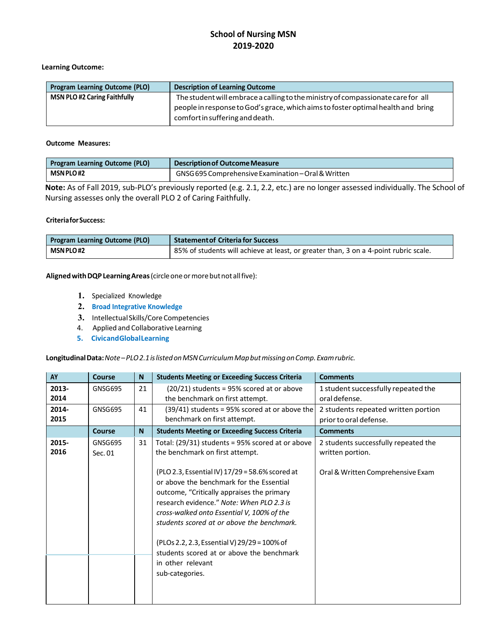#### **Learning Outcome:**

| <b>Program Learning Outcome (PLO)</b> | <b>Description of Learning Outcome</b>                                                                              |
|---------------------------------------|---------------------------------------------------------------------------------------------------------------------|
| <b>MSN PLO #2 Caring Faithfully</b>   | The student will embrace a calling to the ministry of compassionate care for all                                    |
|                                       | people in response to God's grace, which aims to foster optimal health and bring<br>comfort in suffering and death. |

#### **Outcome Measures:**

| <b>Program Learning Outcome (PLO)</b> | Description of Outcome Measure                      |
|---------------------------------------|-----------------------------------------------------|
| <b>MSN PLO#2</b>                      | GNSG 695 Comprehensive Examination - Oral & Written |

**Note:** As of Fall 2019, sub-PLO's previously reported (e.g. 2.1, 2.2, etc.) are no longer assessed individually. The School of Nursing assesses only the overall PLO 2 of Caring Faithfully.

#### **CriteriaforSuccess:**

| <b>Program Learning Outcome (PLO)</b> | <b>Statement of Criteria for Success</b>                                             |
|---------------------------------------|--------------------------------------------------------------------------------------|
| MSN PLO#2                             | B5% of students will achieve at least, or greater than, 3 on a 4-point rubric scale. |

Aligned with DQP Learning Areas (circle one or more but not all five):

- **1.** Specialized Knowledge
- **2. Broad Integrative Knowledge**
- **3.** Intellectual Skills/CoreCompetencies
- 4. Applied and Collaborative Learning
- **5. CivicandGlobalLearning**

**LongitudinalData:***Note–PLO2.1islistedonMSNCurriculumMapbutmissingonComp.Examrubric.*

| AY            | <b>Course</b>      | N              | <b>Students Meeting or Exceeding Success Criteria</b>                                                                                                                                                                                                                                                                                                                           | <b>Comments</b>                                               |
|---------------|--------------------|----------------|---------------------------------------------------------------------------------------------------------------------------------------------------------------------------------------------------------------------------------------------------------------------------------------------------------------------------------------------------------------------------------|---------------------------------------------------------------|
| 2013-<br>2014 | GNSG695            | 21             | $(20/21)$ students = 95% scored at or above<br>the benchmark on first attempt.                                                                                                                                                                                                                                                                                                  | 1 student successfully repeated the<br>oral defense.          |
| 2014-<br>2015 | GNSG695            | 41             | $(39/41)$ students = 95% scored at or above the<br>benchmark on first attempt.                                                                                                                                                                                                                                                                                                  | 2 students repeated written portion<br>prior to oral defense. |
|               | Course             | N <sub>1</sub> | <b>Students Meeting or Exceeding Success Criteria</b>                                                                                                                                                                                                                                                                                                                           | <b>Comments</b>                                               |
| 2015-<br>2016 | GNSG695<br>Sec. 01 | 31             | Total: (29/31) students = 95% scored at or above<br>the benchmark on first attempt.                                                                                                                                                                                                                                                                                             | 2 students successfully repeated the<br>written portion.      |
|               |                    |                | (PLO 2.3, Essential IV) 17/29 = 58.6% scored at<br>or above the benchmark for the Essential<br>outcome, "Critically appraises the primary<br>research evidence." Note: When PLO 2.3 is<br>cross-walked onto Essential V, 100% of the<br>students scored at or above the benchmark.<br>(PLOs 2.2, 2.3, Essential V) 29/29 = 100% of<br>students scored at or above the benchmark | Oral & Written Comprehensive Exam                             |
|               |                    |                | in other relevant<br>sub-categories.                                                                                                                                                                                                                                                                                                                                            |                                                               |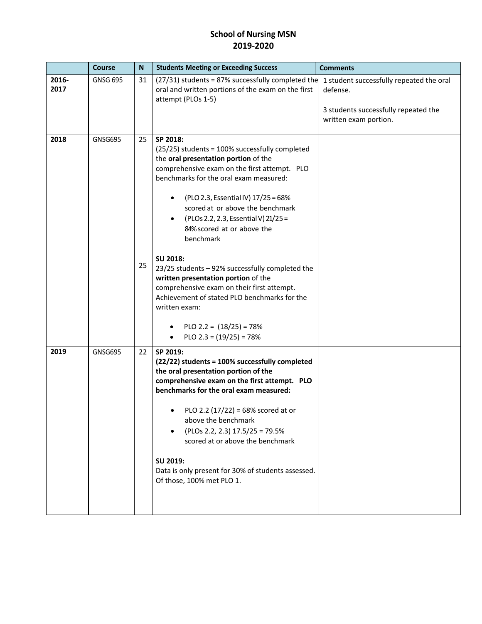|               | <b>Course</b>   | N        | <b>Students Meeting or Exceeding Success</b>                                                                                                                                                                                                                                                                                                                                                                                                                                                                                                                                                                                                        | <b>Comments</b>                                                                                                       |
|---------------|-----------------|----------|-----------------------------------------------------------------------------------------------------------------------------------------------------------------------------------------------------------------------------------------------------------------------------------------------------------------------------------------------------------------------------------------------------------------------------------------------------------------------------------------------------------------------------------------------------------------------------------------------------------------------------------------------------|-----------------------------------------------------------------------------------------------------------------------|
| 2016-<br>2017 | <b>GNSG 695</b> | 31       | $(27/31)$ students = 87% successfully completed the<br>oral and written portions of the exam on the first<br>attempt (PLOs 1-5)                                                                                                                                                                                                                                                                                                                                                                                                                                                                                                                     | 1 student successfully repeated the oral<br>defense.<br>3 students successfully repeated the<br>written exam portion. |
| 2018          | GNSG695         | 25<br>25 | SP 2018:<br>(25/25) students = 100% successfully completed<br>the oral presentation portion of the<br>comprehensive exam on the first attempt. PLO<br>benchmarks for the oral exam measured:<br>(PLO 2.3, Essential IV) 17/25 = 68%<br>scored at or above the benchmark<br>(PLOs 2.2, 2.3, Essential V) 21/25 =<br>84% scored at or above the<br>benchmark<br>SU 2018:<br>23/25 students - 92% successfully completed the<br>written presentation portion of the<br>comprehensive exam on their first attempt.<br>Achievement of stated PLO benchmarks for the<br>written exam:<br>PLO 2.2 = $(18/25)$ = 78%<br>٠<br>PLO 2.3 = $(19/25)$ = 78%<br>٠ |                                                                                                                       |
| 2019          | GNSG695         | 22       | SP 2019:<br>(22/22) students = 100% successfully completed<br>the oral presentation portion of the<br>comprehensive exam on the first attempt. PLO<br>benchmarks for the oral exam measured:<br>PLO 2.2 $(17/22) = 68%$ scored at or<br>above the benchmark<br>(PLOs 2.2, 2.3) 17.5/25 = 79.5%<br>scored at or above the benchmark<br>SU 2019:<br>Data is only present for 30% of students assessed.<br>Of those, 100% met PLO 1.                                                                                                                                                                                                                   |                                                                                                                       |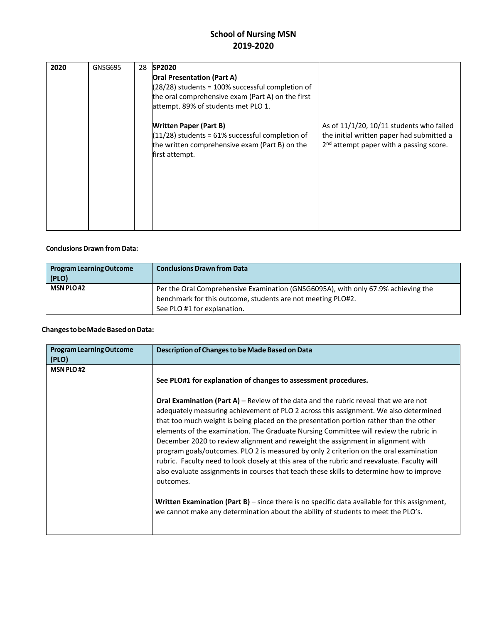| 2020 | GNSG695 | 28 | SP2020<br><b>Oral Presentation (Part A)</b><br>$(28/28)$ students = 100% successful completion of                                                      |                                                                                                                                    |
|------|---------|----|--------------------------------------------------------------------------------------------------------------------------------------------------------|------------------------------------------------------------------------------------------------------------------------------------|
|      |         |    | the oral comprehensive exam (Part A) on the first<br>attempt. 89% of students met PLO 1.                                                               |                                                                                                                                    |
|      |         |    | <b>Written Paper (Part B)</b><br>$(11/28)$ students = 61% successful completion of<br>the written comprehensive exam (Part B) on the<br>first attempt. | As of 11/1/20, 10/11 students who failed<br>the initial written paper had submitted a<br>$2nd$ attempt paper with a passing score. |

#### **Conclusions Drawn from Data:**

| <b>Program Learning Outcome</b><br>(PLO) | <b>Conclusions Drawn from Data</b>                                                |
|------------------------------------------|-----------------------------------------------------------------------------------|
| <b>MSN PLO#2</b>                         | Per the Oral Comprehensive Examination (GNSG6095A), with only 67.9% achieving the |
|                                          | benchmark for this outcome, students are not meeting PLO#2.                       |
|                                          | See PLO #1 for explanation.                                                       |

#### **ChangestobeMadeBasedonData:**

| <b>Program Learning Outcome</b><br>(PLO) | Description of Changes to be Made Based on Data                                                                                                                                                                                                                                                                                                                                                                                                                                                                                                                                                                                                                                                                                                             |
|------------------------------------------|-------------------------------------------------------------------------------------------------------------------------------------------------------------------------------------------------------------------------------------------------------------------------------------------------------------------------------------------------------------------------------------------------------------------------------------------------------------------------------------------------------------------------------------------------------------------------------------------------------------------------------------------------------------------------------------------------------------------------------------------------------------|
| <b>MSN PLO#2</b>                         | See PLO#1 for explanation of changes to assessment procedures.                                                                                                                                                                                                                                                                                                                                                                                                                                                                                                                                                                                                                                                                                              |
|                                          | <b>Oral Examination (Part A)</b> – Review of the data and the rubric reveal that we are not<br>adequately measuring achievement of PLO 2 across this assignment. We also determined<br>that too much weight is being placed on the presentation portion rather than the other<br>elements of the examination. The Graduate Nursing Committee will review the rubric in<br>December 2020 to review alignment and reweight the assignment in alignment with<br>program goals/outcomes. PLO 2 is measured by only 2 criterion on the oral examination<br>rubric. Faculty need to look closely at this area of the rubric and reevaluate. Faculty will<br>also evaluate assignments in courses that teach these skills to determine how to improve<br>outcomes. |
|                                          | <b>Written Examination (Part B)</b> – since there is no specific data available for this assignment,<br>we cannot make any determination about the ability of students to meet the PLO's.                                                                                                                                                                                                                                                                                                                                                                                                                                                                                                                                                                   |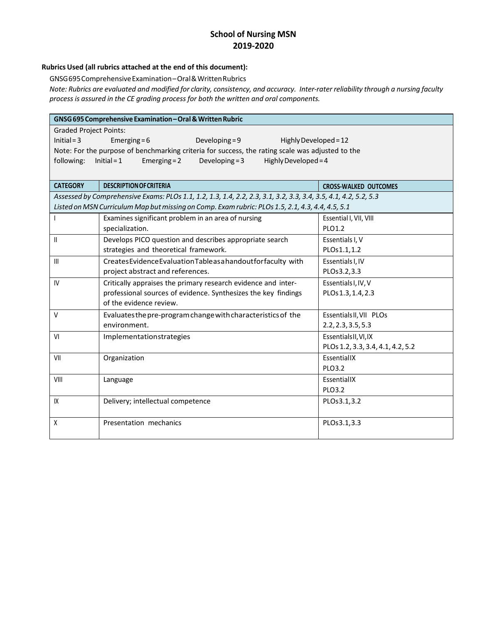#### **Rubrics Used (all rubrics attached at the end of this document):**

GNSG695ComprehensiveExamination–Oral&WrittenRubrics

Note: Rubrics are evaluated and modified for clarity, consistency, and accuracy. Inter-rater reliability through a nursing faculty *process is assured in the CE grading process for both the written and oral components.*

| GNSG 695 Comprehensive Examination - Oral & Written Rubric                                       |                                                                                                                 |                                   |  |  |  |  |  |  |
|--------------------------------------------------------------------------------------------------|-----------------------------------------------------------------------------------------------------------------|-----------------------------------|--|--|--|--|--|--|
| <b>Graded Project Points:</b>                                                                    |                                                                                                                 |                                   |  |  |  |  |  |  |
| $Initial = 3$<br>Emerging = $6$<br>Developing $= 9$<br>Highly Developed = 12                     |                                                                                                                 |                                   |  |  |  |  |  |  |
| Note: For the purpose of benchmarking criteria for success, the rating scale was adjusted to the |                                                                                                                 |                                   |  |  |  |  |  |  |
| following:                                                                                       | $Initial = 1$<br>Developing = $3$<br>Emerging = $2$<br>Highly Developed = $4$                                   |                                   |  |  |  |  |  |  |
|                                                                                                  |                                                                                                                 |                                   |  |  |  |  |  |  |
| <b>CATEGORY</b>                                                                                  | <b>DESCRIPTION OF CRITERIA</b>                                                                                  | <b>CROSS-WALKED OUTCOMES</b>      |  |  |  |  |  |  |
|                                                                                                  | Assessed by Comprehensive Exams: PLOs 1.1, 1.2, 1.3, 1.4, 2.2, 2.3, 3.1, 3.2, 3.3, 3.4, 3.5, 4.1, 4.2, 5.2, 5.3 |                                   |  |  |  |  |  |  |
|                                                                                                  | Listed on MSN Curriculum Map but missing on Comp. Exam rubric: PLOs 1.5, 2.1, 4.3, 4.4, 4.5, 5.1                |                                   |  |  |  |  |  |  |
|                                                                                                  | Examines significant problem in an area of nursing                                                              | Essential I, VII, VIII            |  |  |  |  |  |  |
|                                                                                                  | specialization.                                                                                                 | PLO1.2                            |  |  |  |  |  |  |
| $\mathbf{I}$                                                                                     | Develops PICO question and describes appropriate search                                                         | Essentials I, V                   |  |  |  |  |  |  |
|                                                                                                  | strategies and theoretical framework.                                                                           | PLOs1.1,1.2                       |  |  |  |  |  |  |
| $\mathbf{III}$                                                                                   | Creates Evidence Evaluation Table as a handout for faculty with                                                 | Essentials I, IV                  |  |  |  |  |  |  |
|                                                                                                  | project abstract and references.                                                                                | PLOs3.2,3.3                       |  |  |  |  |  |  |
| IV                                                                                               | Critically appraises the primary research evidence and inter-                                                   | Essentials I, IV, V               |  |  |  |  |  |  |
|                                                                                                  | professional sources of evidence. Synthesizes the key findings                                                  | PLOs 1.3, 1.4, 2.3                |  |  |  |  |  |  |
|                                                                                                  | of the evidence review.                                                                                         |                                   |  |  |  |  |  |  |
| $\vee$                                                                                           | Evaluates the pre-program change with characteristics of the                                                    | Essentials II, VII PLOs           |  |  |  |  |  |  |
|                                                                                                  | environment.                                                                                                    | 2.2, 2.3, 3.5, 5.3                |  |  |  |  |  |  |
| VI                                                                                               | Implementationstrategies                                                                                        | EssentialsII, VI, IX              |  |  |  |  |  |  |
|                                                                                                  |                                                                                                                 | PLOs 1.2, 3.3, 3.4, 4.1, 4.2, 5.2 |  |  |  |  |  |  |
| VII                                                                                              | Organization                                                                                                    | EssentiallX                       |  |  |  |  |  |  |
|                                                                                                  |                                                                                                                 | PLO3.2                            |  |  |  |  |  |  |
| VIII                                                                                             | Language                                                                                                        | EssentiallX                       |  |  |  |  |  |  |
|                                                                                                  |                                                                                                                 | PLO3.2                            |  |  |  |  |  |  |
| IX                                                                                               | Delivery; intellectual competence                                                                               | PLOs3.1,3.2                       |  |  |  |  |  |  |
|                                                                                                  |                                                                                                                 |                                   |  |  |  |  |  |  |
| X                                                                                                | Presentation mechanics                                                                                          | PLOs3.1,3.3                       |  |  |  |  |  |  |
|                                                                                                  |                                                                                                                 |                                   |  |  |  |  |  |  |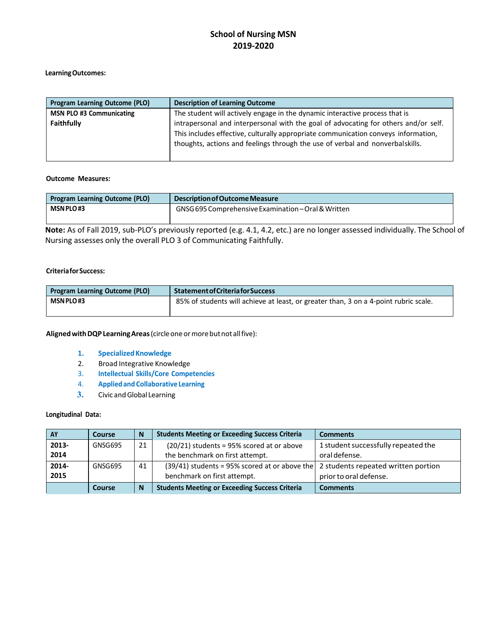#### **LearningOutcomes:**

| <b>Program Learning Outcome (PLO)</b> | <b>Description of Learning Outcome</b>                                                                                                                              |
|---------------------------------------|---------------------------------------------------------------------------------------------------------------------------------------------------------------------|
| <b>MSN PLO #3 Communicating</b>       | The student will actively engage in the dynamic interactive process that is                                                                                         |
| <b>Faithfully</b>                     | intrapersonal and interpersonal with the goal of advocating for others and/or self.                                                                                 |
|                                       | This includes effective, culturally appropriate communication conveys information,<br>thoughts, actions and feelings through the use of verbal and nonverbalskills. |

#### **Outcome Measures:**

| <b>Program Learning Outcome (PLO)</b> | Description of Outcome Measure                      |
|---------------------------------------|-----------------------------------------------------|
| MSN PLO#3                             | GNSG 695 Comprehensive Examination - Oral & Written |
|                                       |                                                     |

**Note:** As of Fall 2019, sub-PLO's previously reported (e.g. 4.1, 4.2, etc.) are no longer assessed individually. The School of Nursing assesses only the overall PLO 3 of Communicating Faithfully.

#### **CriteriaforSuccess:**

| <b>Program Learning Outcome (PLO)</b> | <b>Statement of Criteria for Success</b>                                             |  |
|---------------------------------------|--------------------------------------------------------------------------------------|--|
| <b>MSN PLO#3</b>                      | 85% of students will achieve at least, or greater than, 3 on a 4-point rubric scale. |  |
|                                       |                                                                                      |  |

**AlignedwithDQPLearningAreas**(circleoneormorebutnot allfive):

- 1. **Specialized Knowledge**
- 2. Broad Integrative Knowledge
- 3. **Intellectual Skills/Core Competencies**
- 4. **Appliedand Collaborative Learning**
- **3.** Civic and Global Learning

#### **Longitudinal Data:**

| <b>AY</b> | Course  | N  | <b>Students Meeting or Exceeding Success Criteria</b>                               | <b>Comments</b>                     |
|-----------|---------|----|-------------------------------------------------------------------------------------|-------------------------------------|
| 2013-     | GNSG695 | 21 | $(20/21)$ students = 95% scored at or above                                         | 1 student successfully repeated the |
| 2014      |         |    | the benchmark on first attempt.                                                     | oral defense.                       |
| 2014-     | GNSG695 | 41 | $(39/41)$ students = 95% scored at or above the 2 students repeated written portion |                                     |
| 2015      |         |    | benchmark on first attempt.                                                         | prior to oral defense.              |
|           | Course  | N  | <b>Students Meeting or Exceeding Success Criteria</b>                               | <b>Comments</b>                     |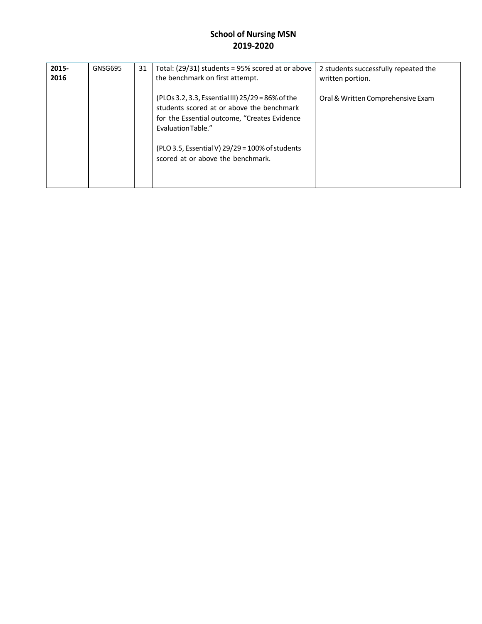| 2015-<br>2016 | GNSG695 | 31 | Total: $(29/31)$ students = 95% scored at or above<br>the benchmark on first attempt.                                                                                                                                                                        | 2 students successfully repeated the<br>written portion. |
|---------------|---------|----|--------------------------------------------------------------------------------------------------------------------------------------------------------------------------------------------------------------------------------------------------------------|----------------------------------------------------------|
|               |         |    | (PLOs 3.2, 3.3, Essential III) 25/29 = 86% of the<br>students scored at or above the benchmark<br>for the Essential outcome, "Creates Evidence<br>Evaluation Table."<br>(PLO 3.5, Essential V) 29/29 = 100% of students<br>scored at or above the benchmark. | Oral & Written Comprehensive Exam                        |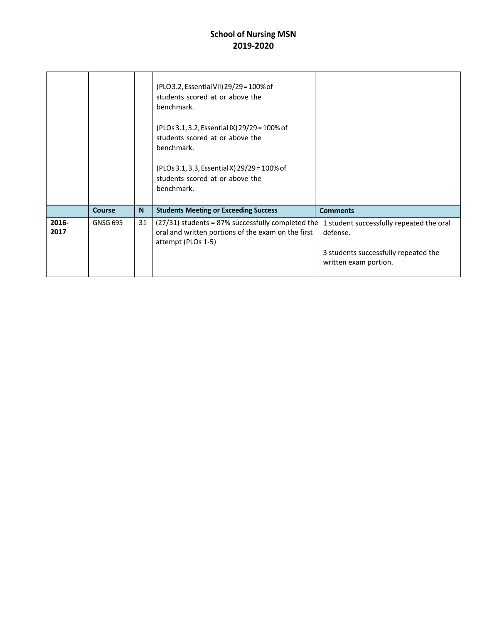|               |                 |          | (PLO 3.2, Essential VII) 29/29 = 100% of<br>students scored at or above the<br>benchmark.<br>(PLOs 3.1, 3.2, Essential IX) 29/29 = 100% of<br>students scored at or above the<br>benchmark.<br>(PLOs 3.1, 3.3, Essential X) 29/29 = 100% of<br>students scored at or above the<br>benchmark. |                                                                                                                       |
|---------------|-----------------|----------|----------------------------------------------------------------------------------------------------------------------------------------------------------------------------------------------------------------------------------------------------------------------------------------------|-----------------------------------------------------------------------------------------------------------------------|
|               | Course          | <b>N</b> | <b>Students Meeting or Exceeding Success</b>                                                                                                                                                                                                                                                 | <b>Comments</b>                                                                                                       |
| 2016-<br>2017 | <b>GNSG 695</b> | 31       | $(27/31)$ students = 87% successfully completed the<br>oral and written portions of the exam on the first<br>attempt (PLOs 1-5)                                                                                                                                                              | 1 student successfully repeated the oral<br>defense.<br>3 students successfully repeated the<br>written exam portion. |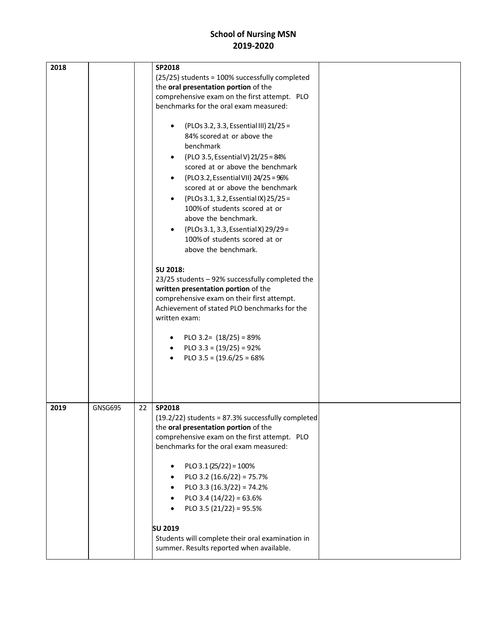| 2018 |                | SP2018<br>(25/25) students = 100% successfully completed<br>the oral presentation portion of the<br>comprehensive exam on the first attempt. PLO<br>benchmarks for the oral exam measured:<br>(PLOs 3.2, 3.3, Essential III) 21/25 =<br>84% scored at or above the<br>benchmark<br>(PLO 3.5, Essential V) 21/25 = 84%<br>$\bullet$<br>scored at or above the benchmark<br>(PLO 3.2, Essential VII) 24/25 = 96%<br>$\bullet$<br>scored at or above the benchmark<br>(PLOs 3.1, 3.2, Essential IX) 25/25 =<br>$\bullet$<br>100% of students scored at or<br>above the benchmark.<br>(PLOs 3.1, 3.3, Essential X) 29/29 =<br>100% of students scored at or<br>above the benchmark.<br>SU 2018:<br>23/25 students - 92% successfully completed the<br>written presentation portion of the<br>comprehensive exam on their first attempt.<br>Achievement of stated PLO benchmarks for the<br>written exam:<br>PLO 3.2= $(18/25) = 89%$<br>PLO $3.3 = (19/25) = 92\%$<br>PLO $3.5 = (19.6/25 = 68\%$ |  |
|------|----------------|-----------------------------------------------------------------------------------------------------------------------------------------------------------------------------------------------------------------------------------------------------------------------------------------------------------------------------------------------------------------------------------------------------------------------------------------------------------------------------------------------------------------------------------------------------------------------------------------------------------------------------------------------------------------------------------------------------------------------------------------------------------------------------------------------------------------------------------------------------------------------------------------------------------------------------------------------------------------------------------------------|--|
| 2019 | <b>GNSG695</b> | 22<br>SP2018<br>$(19.2/22)$ students = 87.3% successfully completed<br>the oral presentation portion of the<br>comprehensive exam on the first attempt. PLO<br>benchmarks for the oral exam measured:<br>PLO 3.1 (25/22) = $100\%$<br>$\bullet$<br>PLO 3.2 $(16.6/22) = 75.7%$<br>PLO 3.3 $(16.3/22) = 74.2%$<br>$\bullet$<br>PLO 3.4 $(14/22) = 63.6%$<br>$\bullet$<br>PLO 3.5 $(21/22) = 95.5%$<br>$\bullet$<br><b>SU 2019</b><br>Students will complete their oral examination in<br>summer. Results reported when available.                                                                                                                                                                                                                                                                                                                                                                                                                                                              |  |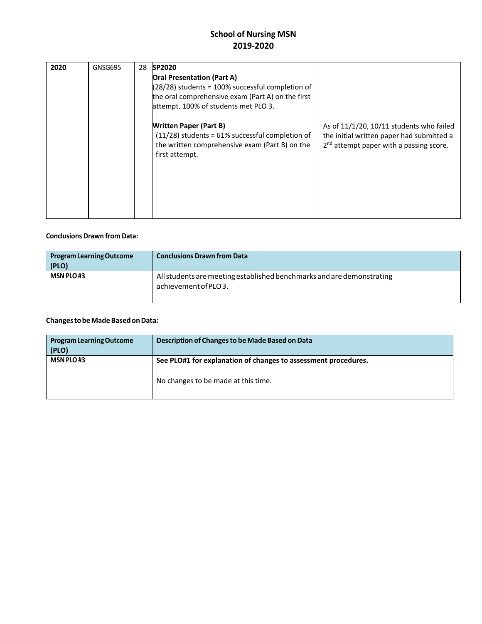| 2020 | GNSG695 | 28 | <b>SP2020</b><br><b>Oral Presentation (Part A)</b><br>$(28/28)$ students = 100% successful completion of<br>the oral comprehensive exam (Part A) on the first<br>attempt. 100% of students met PLO 3.<br><b>Written Paper (Part B)</b><br>$(11/28)$ students = 61% successful completion of<br>the written comprehensive exam (Part B) on the<br>first attempt. | As of $11/1/20$ , $10/11$ students who failed<br>the initial written paper had submitted a<br>2 <sup>nd</sup> attempt paper with a passing score. |
|------|---------|----|-----------------------------------------------------------------------------------------------------------------------------------------------------------------------------------------------------------------------------------------------------------------------------------------------------------------------------------------------------------------|---------------------------------------------------------------------------------------------------------------------------------------------------|
|      |         |    |                                                                                                                                                                                                                                                                                                                                                                 |                                                                                                                                                   |

#### **Conclusions Drawn from Data:**

| <b>Program Learning Outcome</b><br>(PLO) | <b>Conclusions Drawn from Data</b>                                                            |
|------------------------------------------|-----------------------------------------------------------------------------------------------|
| <b>MSN PLO#3</b>                         | All students are meeting established benchmarks and are demonstrating<br>achievement of PLO3. |

#### **ChangestobeMadeBasedonData:**

| <b>Program Learning Outcome</b><br>(PLO) | Description of Changes to be Made Based on Data                |
|------------------------------------------|----------------------------------------------------------------|
| <b>MSN PLO#3</b>                         | See PLO#1 for explanation of changes to assessment procedures. |
|                                          | No changes to be made at this time.                            |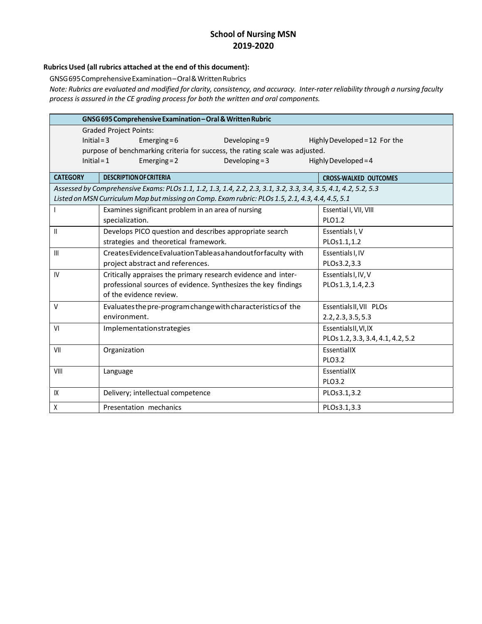#### **Rubrics Used (all rubrics attached at the end of this document):**

GNSG695ComprehensiveExamination–Oral&WrittenRubrics

Note: Rubrics are evaluated and modified for clarity, consistency, and accuracy. Inter-rater reliability through a nursing faculty *process is assured in the CE grading process for both the written and oral components.*

|                                                                                      |                                                                              | GNSG 695 Comprehensive Examination - Oral & Written Rubric |                                                                                                                 |  |                                   |  |  |  |
|--------------------------------------------------------------------------------------|------------------------------------------------------------------------------|------------------------------------------------------------|-----------------------------------------------------------------------------------------------------------------|--|-----------------------------------|--|--|--|
|                                                                                      | <b>Graded Project Points:</b>                                                |                                                            |                                                                                                                 |  |                                   |  |  |  |
| $Initial = 3$<br>Developing = $9$<br>Highly Developed = 12 For the<br>Emerging = $6$ |                                                                              |                                                            |                                                                                                                 |  |                                   |  |  |  |
|                                                                                      | purpose of benchmarking criteria for success, the rating scale was adjusted. |                                                            |                                                                                                                 |  |                                   |  |  |  |
| Initial = $1$                                                                        |                                                                              | Emerging $= 2$                                             | Developing $=$ 3                                                                                                |  | Highly Developed = $4$            |  |  |  |
| <b>CATEGORY</b>                                                                      |                                                                              | <b>DESCRIPTION OF CRITERIA</b>                             |                                                                                                                 |  | <b>CROSS-WALKED OUTCOMES</b>      |  |  |  |
|                                                                                      |                                                                              |                                                            | Assessed by Comprehensive Exams: PLOs 1.1, 1.2, 1.3, 1.4, 2.2, 2.3, 3.1, 3.2, 3.3, 3.4, 3.5, 4.1, 4.2, 5.2, 5.3 |  |                                   |  |  |  |
|                                                                                      |                                                                              |                                                            | Listed on MSN Curriculum Map but missing on Comp. Exam rubric: PLOs 1.5, 2.1, 4.3, 4.4, 4.5, 5.1                |  |                                   |  |  |  |
|                                                                                      |                                                                              | Examines significant problem in an area of nursing         |                                                                                                                 |  | Essential I, VII, VIII            |  |  |  |
|                                                                                      | specialization.                                                              |                                                            |                                                                                                                 |  | <b>PLO1.2</b>                     |  |  |  |
| Ш                                                                                    |                                                                              |                                                            | Develops PICO question and describes appropriate search                                                         |  | Essentials I, V                   |  |  |  |
|                                                                                      |                                                                              | strategies and theoretical framework.                      |                                                                                                                 |  | PLOs1.1,1.2                       |  |  |  |
| $\mathbf{III}$                                                                       |                                                                              |                                                            | Creates Evidence Evaluation Tableasa handout for faculty with                                                   |  | Essentials I, IV                  |  |  |  |
|                                                                                      |                                                                              | project abstract and references.                           |                                                                                                                 |  | PLOs3.2,3.3                       |  |  |  |
| IV                                                                                   |                                                                              |                                                            | Critically appraises the primary research evidence and inter-                                                   |  | Essentials I, IV, V               |  |  |  |
|                                                                                      |                                                                              |                                                            | professional sources of evidence. Synthesizes the key findings                                                  |  | PLOs 1.3, 1.4, 2.3                |  |  |  |
|                                                                                      |                                                                              | of the evidence review.                                    |                                                                                                                 |  |                                   |  |  |  |
| $\vee$                                                                               |                                                                              |                                                            | Evaluates the pre-program change with characteristics of the                                                    |  | Essentials II, VII PLOs           |  |  |  |
|                                                                                      | environment.                                                                 |                                                            |                                                                                                                 |  | 2.2, 2.3, 3.5, 5.3                |  |  |  |
| VI                                                                                   |                                                                              | Implementationstrategies                                   |                                                                                                                 |  | Essentials II, VI, IX             |  |  |  |
|                                                                                      |                                                                              |                                                            |                                                                                                                 |  | PLOs 1.2, 3.3, 3.4, 4.1, 4.2, 5.2 |  |  |  |
| VII                                                                                  | Organization                                                                 |                                                            |                                                                                                                 |  | EssentiallX                       |  |  |  |
|                                                                                      |                                                                              |                                                            |                                                                                                                 |  | PLO3.2                            |  |  |  |
| VIII                                                                                 | Language                                                                     |                                                            |                                                                                                                 |  | EssentiallX                       |  |  |  |
|                                                                                      |                                                                              |                                                            |                                                                                                                 |  | PLO3.2                            |  |  |  |
| IX                                                                                   |                                                                              | Delivery; intellectual competence                          |                                                                                                                 |  | PLOs3.1,3.2                       |  |  |  |
| χ                                                                                    |                                                                              | Presentation mechanics                                     |                                                                                                                 |  | PLOs3.1,3.3                       |  |  |  |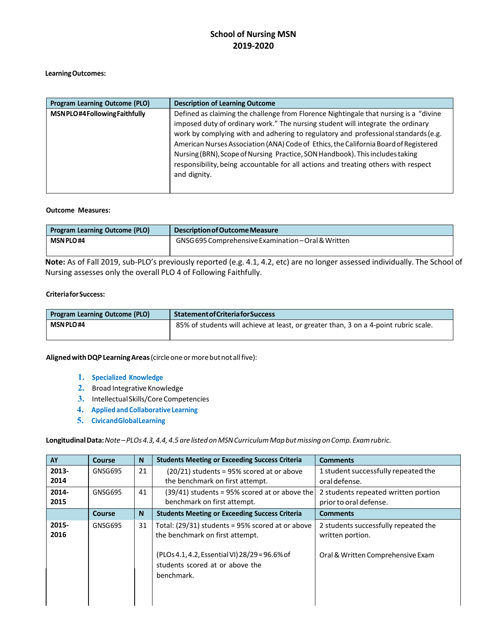#### **LearningOutcomes:**

| <b>Program Learning Outcome (PLO)</b> | <b>Description of Learning Outcome</b>                                                                                                                                                                                                                                                                                                                                                                                                                                                                                                        |
|---------------------------------------|-----------------------------------------------------------------------------------------------------------------------------------------------------------------------------------------------------------------------------------------------------------------------------------------------------------------------------------------------------------------------------------------------------------------------------------------------------------------------------------------------------------------------------------------------|
| MSNPLO#4FollowingFaithfully           | Defined as claiming the challenge from Florence Nightingale that nursing is a "divine<br>imposed duty of ordinary work." The nursing student will integrate the ordinary<br>work by complying with and adhering to regulatory and professional standards (e.g.<br>American Nurses Association (ANA) Code of Ethics, the California Board of Registered<br>Nursing (BRN), Scope of Nursing Practice, SON Handbook). This includes taking<br>responsibility, being accountable for all actions and treating others with respect<br>and dignity. |

#### **Outcome Measures:**

| <b>Program Learning Outcome (PLO)</b> | Description of Outcome Measure                      |
|---------------------------------------|-----------------------------------------------------|
| <b>MSN PLO#4</b>                      | GNSG 695 Comprehensive Examination - Oral & Written |
|                                       |                                                     |

**Note:** As of Fall 2019, sub-PLO's previously reported (e.g. 4.1, 4.2, etc) are no longer assessed individually. The School of Nursing assesses only the overall PLO 4 of Following Faithfully.

#### **CriteriaforSuccess:**

| <b>Program Learning Outcome (PLO)</b> | <b>Statement of Criteria for Success</b>                                             |
|---------------------------------------|--------------------------------------------------------------------------------------|
| <b>MSN PLO#4</b>                      | 85% of students will achieve at least, or greater than, 3 on a 4-point rubric scale. |

**AlignedwithDQPLearningAreas**(circleoneormorebutnot allfive):

- **1. Specialized Knowledge**
- **2.** Broad Integrative Knowledge
- **3.** Intellectual Skills/Core Competencies
- **4. Appliedand Collaborative Learning**
- **5. CivicandGlobalLearning**

**LongitudinalData:***Note– PLOs4.3,4.4, 4.5are listedonMSNCurriculumMapbutmissingonComp. Examrubric.*

| AY            | Course        | N  | <b>Students Meeting or Exceeding Success Criteria</b>                                                                                                                                  | <b>Comments</b>                                                                               |
|---------------|---------------|----|----------------------------------------------------------------------------------------------------------------------------------------------------------------------------------------|-----------------------------------------------------------------------------------------------|
| 2013-<br>2014 | GNSG695       | 21 | $(20/21)$ students = 95% scored at or above<br>the benchmark on first attempt.                                                                                                         | 1 student successfully repeated the<br>oral defense.                                          |
| 2014-<br>2015 | GNSG695       | 41 | $(39/41)$ students = 95% scored at or above the<br>benchmark on first attempt.                                                                                                         | 2 students repeated written portion<br>prior to oral defense.                                 |
|               | <b>Course</b> | N  | <b>Students Meeting or Exceeding Success Criteria</b>                                                                                                                                  | <b>Comments</b>                                                                               |
| 2015-<br>2016 | GNSG695       | 31 | Total: (29/31) students = 95% scored at or above<br>the benchmark on first attempt.<br>(PLOs 4.1, 4.2, Essential VI) 28/29 = 96.6% of<br>students scored at or above the<br>benchmark. | 2 students successfully repeated the<br>written portion.<br>Oral & Written Comprehensive Exam |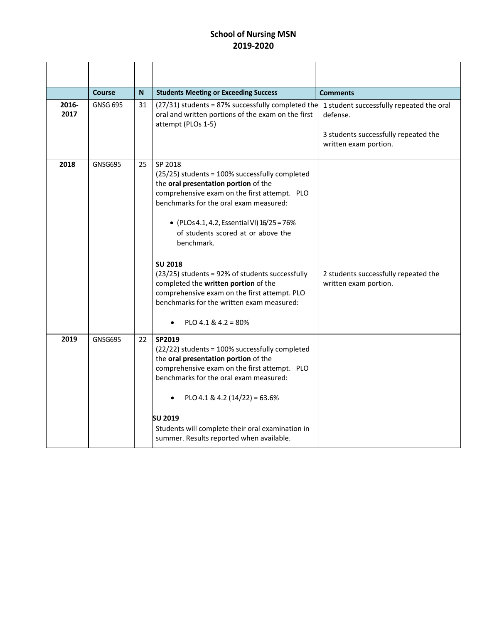|               | <b>Course</b>   | N. | <b>Students Meeting or Exceeding Success</b>                                                                                                                                                                                                                                                                                                                                                                                                                                                                                                 | <b>Comments</b>                                                                                                       |
|---------------|-----------------|----|----------------------------------------------------------------------------------------------------------------------------------------------------------------------------------------------------------------------------------------------------------------------------------------------------------------------------------------------------------------------------------------------------------------------------------------------------------------------------------------------------------------------------------------------|-----------------------------------------------------------------------------------------------------------------------|
| 2016-<br>2017 | <b>GNSG 695</b> | 31 | (27/31) students = 87% successfully completed the<br>oral and written portions of the exam on the first<br>attempt (PLOs 1-5)                                                                                                                                                                                                                                                                                                                                                                                                                | 1 student successfully repeated the oral<br>defense.<br>3 students successfully repeated the<br>written exam portion. |
| 2018          | <b>GNSG695</b>  | 25 | SP 2018<br>(25/25) students = 100% successfully completed<br>the oral presentation portion of the<br>comprehensive exam on the first attempt. PLO<br>benchmarks for the oral exam measured:<br>• (PLOs 4.1, 4.2, Essential VI) 16/25 = 76%<br>of students scored at or above the<br>benchmark.<br><b>SU 2018</b><br>(23/25) students = 92% of students successfully<br>completed the written portion of the<br>comprehensive exam on the first attempt. PLO<br>benchmarks for the written exam measured:<br>PLO 4.1 & 4.2 = 80%<br>$\bullet$ | 2 students successfully repeated the<br>written exam portion.                                                         |
| 2019          | <b>GNSG695</b>  | 22 | SP2019<br>(22/22) students = 100% successfully completed<br>the oral presentation portion of the<br>comprehensive exam on the first attempt. PLO<br>benchmarks for the oral exam measured:<br>PLO 4.1 & 4.2 (14/22) = 63.6%<br><b>SU 2019</b><br>Students will complete their oral examination in<br>summer. Results reported when available.                                                                                                                                                                                                |                                                                                                                       |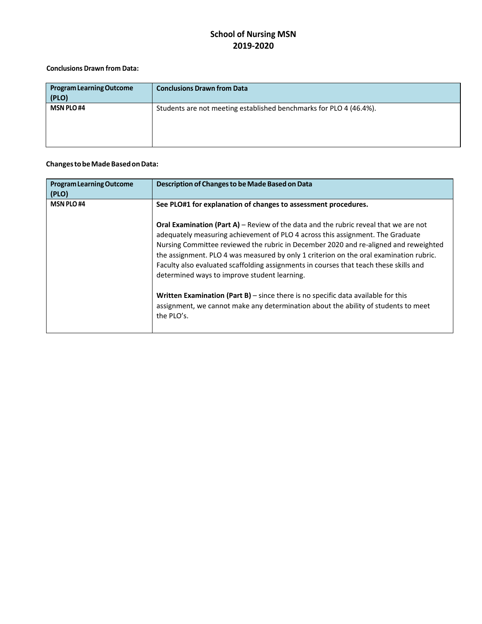#### **Conclusions Drawn from Data:**

| <b>Program Learning Outcome</b><br>(PLO) | <b>Conclusions Drawn from Data</b>                                 |
|------------------------------------------|--------------------------------------------------------------------|
| <b>MSN PLO#4</b>                         | Students are not meeting established benchmarks for PLO 4 (46.4%). |

#### **ChangestobeMadeBasedonData:**

| <b>Program Learning Outcome</b><br>(PLO) | Description of Changes to be Made Based on Data                                                                                                                                                                                                                                                                                                                                                                                                                                                          |
|------------------------------------------|----------------------------------------------------------------------------------------------------------------------------------------------------------------------------------------------------------------------------------------------------------------------------------------------------------------------------------------------------------------------------------------------------------------------------------------------------------------------------------------------------------|
| <b>MSN PLO#4</b>                         | See PLO#1 for explanation of changes to assessment procedures.                                                                                                                                                                                                                                                                                                                                                                                                                                           |
|                                          | <b>Oral Examination (Part A)</b> – Review of the data and the rubric reveal that we are not<br>adequately measuring achievement of PLO 4 across this assignment. The Graduate<br>Nursing Committee reviewed the rubric in December 2020 and re-aligned and reweighted<br>the assignment. PLO 4 was measured by only 1 criterion on the oral examination rubric.<br>Faculty also evaluated scaffolding assignments in courses that teach these skills and<br>determined ways to improve student learning. |
|                                          | Written Examination (Part $B$ ) – since there is no specific data available for this<br>assignment, we cannot make any determination about the ability of students to meet<br>the PLO's.                                                                                                                                                                                                                                                                                                                 |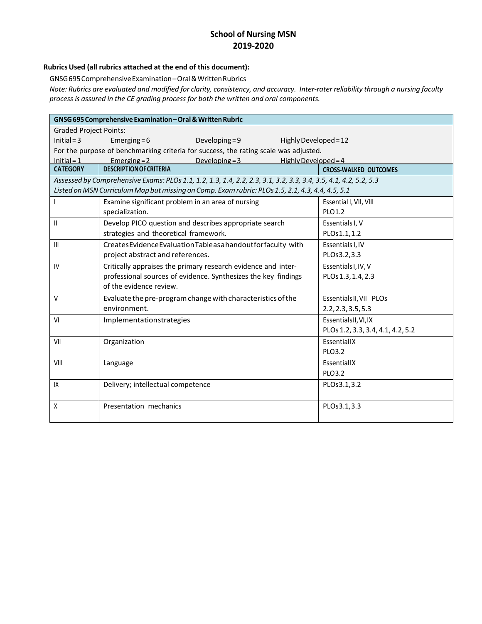#### **Rubrics Used (all rubrics attached at the end of this document):**

GNSG695ComprehensiveExamination–Oral&WrittenRubrics

Note: Rubrics are evaluated and modified for clarity, consistency, and accuracy. Inter-rater reliability through a nursing faculty *process is assured in the CE grading process for both the written and oral components.*

|                               | GNSG 695 Comprehensive Examination - Oral & Written Rubric                                                      |                        |                                   |
|-------------------------------|-----------------------------------------------------------------------------------------------------------------|------------------------|-----------------------------------|
| <b>Graded Project Points:</b> |                                                                                                                 |                        |                                   |
| $Initial = 3$                 | Developing = $9$<br>Emerging = $6$                                                                              | Highly Developed = 12  |                                   |
|                               | For the purpose of benchmarking criteria for success, the rating scale was adjusted.                            |                        |                                   |
| $Initial = 1$                 | Emerging $= 2$<br>Developing $=$ 3                                                                              | Highly Developed = $4$ |                                   |
| <b>CATEGORY</b>               | <b>DESCRIPTION OF CRITERIA</b>                                                                                  |                        | <b>CROSS-WALKED OUTCOMES</b>      |
|                               | Assessed by Comprehensive Exams: PLOs 1.1, 1.2, 1.3, 1.4, 2.2, 2.3, 3.1, 3.2, 3.3, 3.4, 3.5, 4.1, 4.2, 5.2, 5.3 |                        |                                   |
|                               | Listed on MSN Curriculum Map but missing on Comp. Exam rubric: PLOs 1.5, 2.1, 4.3, 4.4, 4.5, 5.1                |                        |                                   |
|                               | Examine significant problem in an area of nursing                                                               |                        | Essential I, VII, VIII            |
|                               | specialization.                                                                                                 |                        | PLO1.2                            |
| Ш                             | Develop PICO question and describes appropriate search                                                          |                        | Essentials I, V                   |
|                               | strategies and theoretical framework.                                                                           |                        | PLOs1.1,1.2                       |
| III                           | Creates Evidence Evaluation Table as a handout for faculty with                                                 |                        | Essentials I, IV                  |
|                               | project abstract and references.                                                                                |                        | PLOs3.2,3.3                       |
| IV                            | Critically appraises the primary research evidence and inter-                                                   |                        | Essentials I, IV, V               |
|                               | professional sources of evidence. Synthesizes the key findings                                                  |                        | PLOs 1.3, 1.4, 2.3                |
|                               | of the evidence review.                                                                                         |                        |                                   |
| V                             | Evaluate the pre-program change with characteristics of the                                                     |                        | Essentials II, VII PLOs           |
|                               | environment.                                                                                                    |                        | 2.2, 2.3, 3.5, 5.3                |
| VI                            | Implementationstrategies                                                                                        |                        | EssentialsII, VI, IX              |
|                               |                                                                                                                 |                        | PLOs 1.2, 3.3, 3.4, 4.1, 4.2, 5.2 |
| VII                           | Organization                                                                                                    |                        | EssentiallX                       |
|                               |                                                                                                                 |                        | PLO3.2                            |
| VIII                          | Language                                                                                                        |                        | EssentiallX                       |
|                               |                                                                                                                 |                        | PLO3.2                            |
| IX                            | Delivery; intellectual competence                                                                               |                        | PLOs3.1,3.2                       |
|                               |                                                                                                                 |                        |                                   |
| X                             | Presentation mechanics                                                                                          |                        | PLOs3.1,3.3                       |
|                               |                                                                                                                 |                        |                                   |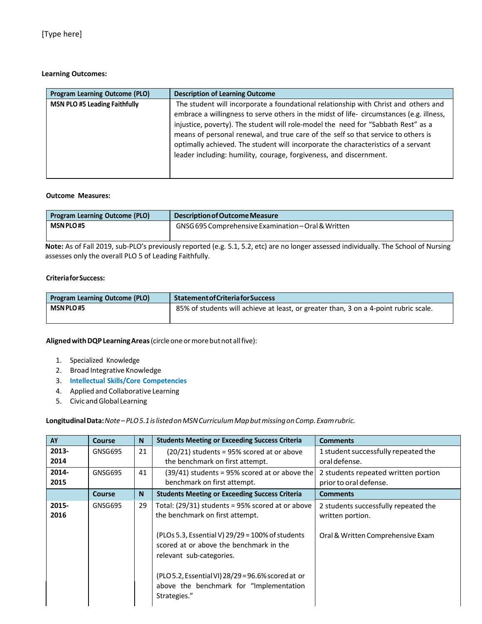#### **Learning Outcomes:**

| Program Learning Outcome (PLO)       | <b>Description of Learning Outcome</b>                                                                                                                                                                                                                                                                                                                                                                                                                                                                              |
|--------------------------------------|---------------------------------------------------------------------------------------------------------------------------------------------------------------------------------------------------------------------------------------------------------------------------------------------------------------------------------------------------------------------------------------------------------------------------------------------------------------------------------------------------------------------|
| <b>MSN PLO #5 Leading Faithfully</b> | The student will incorporate a foundational relationship with Christ and others and<br>embrace a willingness to serve others in the midst of life-circumstances (e.g. illness,<br>injustice, poverty). The student will role-model the need for "Sabbath Rest" as a<br>means of personal renewal, and true care of the self so that service to others is<br>optimally achieved. The student will incorporate the characteristics of a servant<br>leader including: humility, courage, forgiveness, and discernment. |

#### **Outcome Measures:**

| <b>Program Learning Outcome (PLO)</b> | Description of Outcome Measure                      |
|---------------------------------------|-----------------------------------------------------|
| <b>MSN PLO#5</b>                      | GNSG 695 Comprehensive Examination - Oral & Written |
|                                       |                                                     |

**Note:** As of Fall 2019, sub-PLO's previously reported (e.g. 5.1, 5.2, etc) are no longer assessed individually. The School of Nursing assesses only the overall PLO 5 of Leading Faithfully.

#### **CriteriaforSuccess:**

| <b>Program Learning Outcome (PLO)</b> | <b>Statement of Criteria for Success</b>                                             |
|---------------------------------------|--------------------------------------------------------------------------------------|
| <b>MSN PLO#5</b>                      | 85% of students will achieve at least, or greater than, 3 on a 4-point rubric scale. |
|                                       |                                                                                      |

**AlignedwithDQPLearningAreas**(circleoneormorebutnot allfive):

- 1. Specialized Knowledge
- 2. Broad Integrative Knowledge
- 3. **Intellectual Skills/Core Competencies**
- 4. Applied and Collaborative Learning
- 5. Civic and Global Learning

**LongitudinalData:***Note–PLO5.1islistedonMSNCurriculumMapbutmissingonComp.Examrubric.*

| AY            | <b>Course</b> | <b>N</b>       | <b>Students Meeting or Exceeding Success Criteria</b>                                                                                                                                                                                                                                                                           | <b>Comments</b>                                                                               |
|---------------|---------------|----------------|---------------------------------------------------------------------------------------------------------------------------------------------------------------------------------------------------------------------------------------------------------------------------------------------------------------------------------|-----------------------------------------------------------------------------------------------|
| 2013-         | GNSG695       | 21             | $(20/21)$ students = 95% scored at or above                                                                                                                                                                                                                                                                                     | 1 student successfully repeated the                                                           |
| 2014          |               |                | the benchmark on first attempt.                                                                                                                                                                                                                                                                                                 | oral defense.                                                                                 |
| 2014-         | GNSG695       | 41             | $(39/41)$ students = 95% scored at or above the                                                                                                                                                                                                                                                                                 | 2 students repeated written portion                                                           |
| 2015          |               |                | benchmark on first attempt.                                                                                                                                                                                                                                                                                                     | prior to oral defense.                                                                        |
|               | <b>Course</b> | N <sub>1</sub> | <b>Students Meeting or Exceeding Success Criteria</b>                                                                                                                                                                                                                                                                           | <b>Comments</b>                                                                               |
| 2015-<br>2016 | GNSG695       | 29             | Total: (29/31) students = 95% scored at or above<br>the benchmark on first attempt.<br>(PLOs 5.3, Essential V) 29/29 = 100% of students<br>scored at or above the benchmark in the<br>relevant sub-categories.<br>(PLO 5.2, Essential VI) 28/29 = 96.6% scored at or<br>above the benchmark for "Implementation<br>Strategies." | 2 students successfully repeated the<br>written portion.<br>Oral & Written Comprehensive Exam |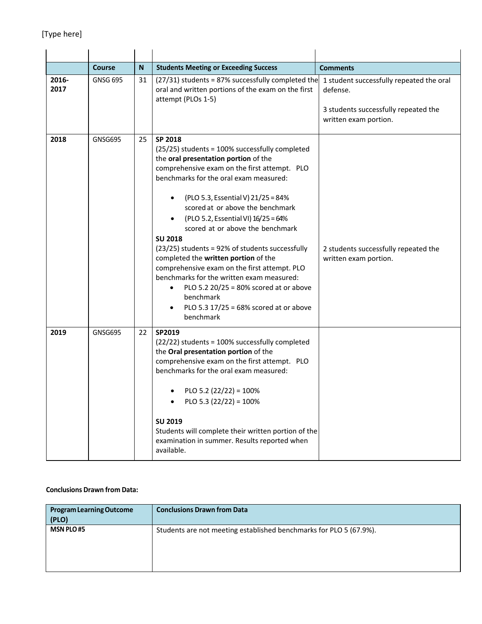|               | <b>Course</b>   | ${\sf N}$ | <b>Students Meeting or Exceeding Success</b>                                                                                                                                                                                                                                                                                                                                                                                                                                                                                                                                                                                                                                                       | <b>Comments</b>                                                                                                       |
|---------------|-----------------|-----------|----------------------------------------------------------------------------------------------------------------------------------------------------------------------------------------------------------------------------------------------------------------------------------------------------------------------------------------------------------------------------------------------------------------------------------------------------------------------------------------------------------------------------------------------------------------------------------------------------------------------------------------------------------------------------------------------------|-----------------------------------------------------------------------------------------------------------------------|
| 2016-<br>2017 | <b>GNSG 695</b> | 31        | $(27/31)$ students = 87% successfully completed the<br>oral and written portions of the exam on the first<br>attempt (PLOs 1-5)                                                                                                                                                                                                                                                                                                                                                                                                                                                                                                                                                                    | 1 student successfully repeated the oral<br>defense.<br>3 students successfully repeated the<br>written exam portion. |
| 2018          | GNSG695         | 25        | SP 2018<br>(25/25) students = 100% successfully completed<br>the oral presentation portion of the<br>comprehensive exam on the first attempt. PLO<br>benchmarks for the oral exam measured:<br>(PLO 5.3, Essential V) 21/25 = 84%<br>$\bullet$<br>scored at or above the benchmark<br>(PLO 5.2, Essential VI) 16/25 = 64%<br>scored at or above the benchmark<br><b>SU 2018</b><br>(23/25) students = 92% of students successfully<br>completed the written portion of the<br>comprehensive exam on the first attempt. PLO<br>benchmarks for the written exam measured:<br>PLO 5.2 20/25 = 80% scored at or above<br>$\bullet$<br>benchmark<br>PLO 5.3 17/25 = 68% scored at or above<br>benchmark | 2 students successfully repeated the<br>written exam portion.                                                         |
| 2019          | <b>GNSG695</b>  | 22        | SP2019<br>(22/22) students = 100% successfully completed<br>the Oral presentation portion of the<br>comprehensive exam on the first attempt. PLO<br>benchmarks for the oral exam measured:<br>PLO 5.2 (22/22) = $100\%$<br>PLO 5.3 (22/22) = 100%<br><b>SU 2019</b><br>Students will complete their written portion of the<br>examination in summer. Results reported when<br>available.                                                                                                                                                                                                                                                                                                           |                                                                                                                       |

#### **Conclusions Drawn from Data:**

| <b>Program Learning Outcome</b><br>(PLO) | <b>Conclusions Drawn from Data</b>                                 |
|------------------------------------------|--------------------------------------------------------------------|
| <b>MSN PLO#5</b>                         | Students are not meeting established benchmarks for PLO 5 (67.9%). |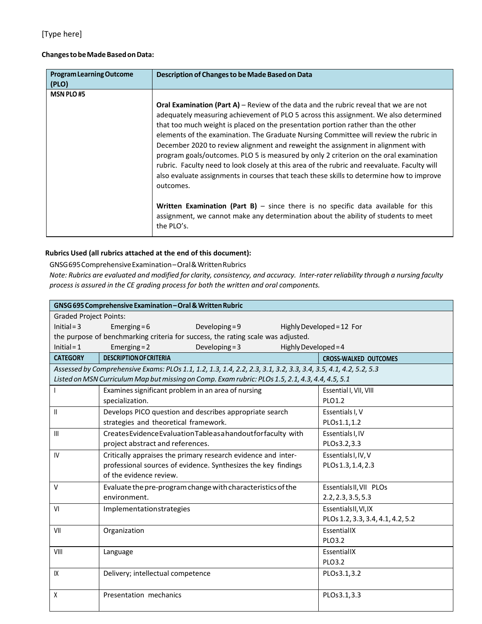#### **ChangestobeMadeBasedonData:**

| <b>Program Learning Outcome</b><br>(PLO) | Description of Changes to be Made Based on Data                                                                                                                                                                                                                                                                                                                                                                                                                                                                                                                                                                                                                                                                                                                                                                                                                                                                                                         |
|------------------------------------------|---------------------------------------------------------------------------------------------------------------------------------------------------------------------------------------------------------------------------------------------------------------------------------------------------------------------------------------------------------------------------------------------------------------------------------------------------------------------------------------------------------------------------------------------------------------------------------------------------------------------------------------------------------------------------------------------------------------------------------------------------------------------------------------------------------------------------------------------------------------------------------------------------------------------------------------------------------|
| <b>MSN PLO#5</b>                         | <b>Oral Examination (Part A)</b> – Review of the data and the rubric reveal that we are not<br>adequately measuring achievement of PLO 5 across this assignment. We also determined<br>that too much weight is placed on the presentation portion rather than the other<br>elements of the examination. The Graduate Nursing Committee will review the rubric in<br>December 2020 to review alignment and reweight the assignment in alignment with<br>program goals/outcomes. PLO 5 is measured by only 2 criterion on the oral examination<br>rubric. Faculty need to look closely at this area of the rubric and reevaluate. Faculty will<br>also evaluate assignments in courses that teach these skills to determine how to improve<br>outcomes.<br><b>Written Examination (Part B)</b> $-$ since there is no specific data available for this<br>assignment, we cannot make any determination about the ability of students to meet<br>the PLO's. |

#### **Rubrics Used (all rubrics attached at the end of this document):**

GNSG695ComprehensiveExamination–Oral&WrittenRubrics

Note: Rubrics are evaluated and modified for clarity, consistency, and accuracy. Inter-rater reliability through a nursing faculty *process is assured in the CE grading process for both the written and oral components.*

|                               |                                       | GNSG 695 Comprehensive Examination - Oral & Written Rubric                                                      |                      |                                   |
|-------------------------------|---------------------------------------|-----------------------------------------------------------------------------------------------------------------|----------------------|-----------------------------------|
| <b>Graded Project Points:</b> |                                       |                                                                                                                 |                      |                                   |
| $Initial = 3$                 | Emerging = $6$                        | Developing $= 9$                                                                                                |                      | Highly Developed = 12 For         |
|                               |                                       | the purpose of benchmarking criteria for success, the rating scale was adjusted.                                |                      |                                   |
| $Initial = 1$                 | Emerging $= 2$                        | Developing = $3$                                                                                                | Highly Developed = 4 |                                   |
| <b>CATEGORY</b>               | <b>DESCRIPTION OF CRITERIA</b>        |                                                                                                                 |                      | <b>CROSS-WALKED OUTCOMES</b>      |
|                               |                                       | Assessed by Comprehensive Exams: PLOs 1.1, 1.2, 1.3, 1.4, 2.2, 2.3, 3.1, 3.2, 3.3, 3.4, 3.5, 4.1, 4.2, 5.2, 5.3 |                      |                                   |
|                               |                                       | Listed on MSN Curriculum Map but missing on Comp. Exam rubric: PLOs 1.5, 2.1, 4.3, 4.4, 4.5, 5.1                |                      |                                   |
|                               |                                       | Examines significant problem in an area of nursing                                                              |                      | Essential I, VII, VIII            |
|                               | specialization.                       |                                                                                                                 |                      | PLO1.2                            |
| $\mathbf{II}$                 |                                       | Develops PICO question and describes appropriate search                                                         |                      | Essentials I, V                   |
|                               | strategies and theoretical framework. |                                                                                                                 |                      | PLOs1.1,1.2                       |
| III                           |                                       | Creates Evidence Evaluation Table as a handout for faculty with                                                 |                      | Essentials I, IV                  |
|                               | project abstract and references.      |                                                                                                                 |                      | PLOs3.2,3.3                       |
| IV                            |                                       | Critically appraises the primary research evidence and inter-                                                   |                      | Essentials I, IV, V               |
|                               |                                       | professional sources of evidence. Synthesizes the key findings                                                  |                      | PLOs 1.3, 1.4, 2.3                |
|                               | of the evidence review.               |                                                                                                                 |                      |                                   |
| v                             |                                       | Evaluate the pre-program change with characteristics of the                                                     |                      | Essentials II, VII PLOs           |
|                               | environment.                          |                                                                                                                 |                      | 2.2, 2.3, 3.5, 5.3                |
| VI                            | Implementationstrategies              |                                                                                                                 |                      | EssentialsII, VI, IX              |
|                               |                                       |                                                                                                                 |                      | PLOs 1.2, 3.3, 3.4, 4.1, 4.2, 5.2 |
| VII                           | Organization                          |                                                                                                                 |                      | EssentiallX                       |
|                               |                                       |                                                                                                                 |                      | PLO3.2                            |
| VIII                          | Language                              |                                                                                                                 |                      | EssentiallX                       |
|                               |                                       |                                                                                                                 |                      | PLO3.2                            |
| IX                            | Delivery; intellectual competence     |                                                                                                                 |                      | PLOs3.1,3.2                       |
|                               |                                       |                                                                                                                 |                      |                                   |
| χ                             | Presentation mechanics                |                                                                                                                 |                      | PLOs3.1,3.3                       |
|                               |                                       |                                                                                                                 |                      |                                   |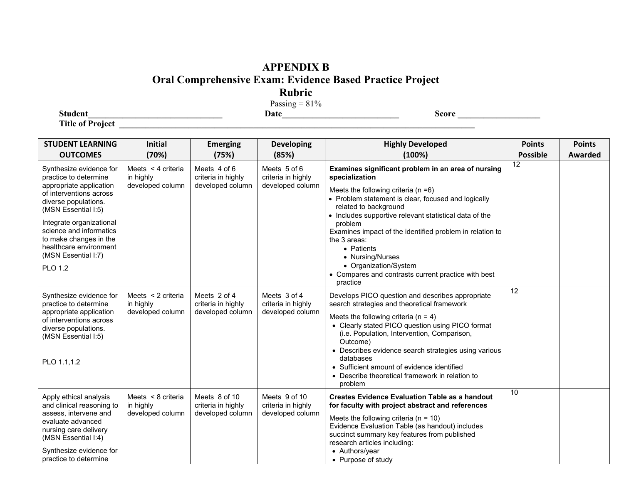# **APPENDIX B**

## **Oral Comprehensive Exam: Evidence Based Practice Project**

**Rubric**

Passing  $= 81\%$ 

**Title of Project \_\_\_\_\_\_\_\_\_\_\_\_\_\_\_\_\_\_\_\_\_\_\_\_\_\_\_\_\_\_\_\_\_\_\_\_\_\_\_\_\_\_\_\_\_\_\_\_\_\_\_\_\_\_\_\_\_\_\_\_\_\_\_\_\_\_\_\_\_\_\_\_\_\_\_\_\_\_\_\_\_\_**

| <b>STUDENT LEARNING</b><br><b>OUTCOMES</b>                                                                                                                                                                                                                                                                | <b>Initial</b><br>(70%)                             | <b>Emerging</b><br>(75%)                                | <b>Developing</b><br>(85%)                              | <b>Highly Developed</b><br>(100%)                                                                                                                                                                                                                                                                                                                                                                                                                                               | <b>Points</b><br><b>Possible</b> | <b>Points</b><br>Awarded |
|-----------------------------------------------------------------------------------------------------------------------------------------------------------------------------------------------------------------------------------------------------------------------------------------------------------|-----------------------------------------------------|---------------------------------------------------------|---------------------------------------------------------|---------------------------------------------------------------------------------------------------------------------------------------------------------------------------------------------------------------------------------------------------------------------------------------------------------------------------------------------------------------------------------------------------------------------------------------------------------------------------------|----------------------------------|--------------------------|
| Synthesize evidence for<br>practice to determine<br>appropriate application<br>of interventions across<br>diverse populations.<br>(MSN Essential I:5)<br>Integrate organizational<br>science and informatics<br>to make changes in the<br>healthcare environment<br>(MSN Essential I:7)<br><b>PLO 1.2</b> | Meets < 4 criteria<br>in highly<br>developed column | Meets 4 of 6<br>criteria in highly<br>developed column  | Meets 5 of 6<br>criteria in highly<br>developed column  | Examines significant problem in an area of nursing<br>specialization<br>Meets the following criteria ( $n = 6$ )<br>• Problem statement is clear, focused and logically<br>related to background<br>• Includes supportive relevant statistical data of the<br>problem<br>Examines impact of the identified problem in relation to<br>the 3 areas:<br>• Patients<br>• Nursing/Nurses<br>• Organization/System<br>• Compares and contrasts current practice with best<br>practice | 12                               |                          |
| Synthesize evidence for<br>practice to determine<br>appropriate application<br>of interventions across<br>diverse populations.<br>(MSN Essential I:5)<br>PLO 1.1.1.2                                                                                                                                      | Meets < 2 criteria<br>in highly<br>developed column | Meets 2 of 4<br>criteria in highly<br>developed column  | Meets 3 of 4<br>criteria in highly<br>developed column  | Develops PICO question and describes appropriate<br>search strategies and theoretical framework<br>Meets the following criteria ( $n = 4$ )<br>• Clearly stated PICO question using PICO format<br>(i.e. Population, Intervention, Comparison,<br>Outcome)<br>• Describes evidence search strategies using various<br>databases<br>• Sufficient amount of evidence identified<br>• Describe theoretical framework in relation to<br>problem                                     | 12                               |                          |
| Apply ethical analysis<br>and clinical reasoning to<br>assess, intervene and<br>evaluate advanced<br>nursing care delivery<br>(MSN Essential I:4)<br>Synthesize evidence for<br>practice to determine                                                                                                     | Meets < 8 criteria<br>in highly<br>developed column | Meets 8 of 10<br>criteria in highly<br>developed column | Meets 9 of 10<br>criteria in highly<br>developed column | <b>Creates Evidence Evaluation Table as a handout</b><br>for faculty with project abstract and references<br>Meets the following criteria ( $n = 10$ )<br>Evidence Evaluation Table (as handout) includes<br>succinct summary key features from published<br>research articles including:<br>• Authors/year<br>• Purpose of study                                                                                                                                               | 10                               |                          |

**Student\_\_\_\_\_\_\_\_\_\_\_\_\_\_\_\_\_\_\_\_\_\_\_\_\_\_\_\_\_\_\_ Date\_\_\_\_\_\_\_\_\_\_\_\_\_\_\_\_\_\_\_\_\_\_\_\_\_\_\_ Score \_\_\_\_\_\_\_\_\_\_\_\_\_\_\_\_\_\_\_**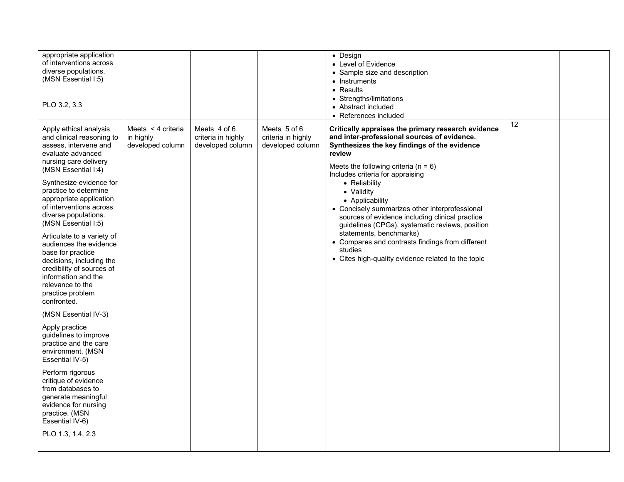| Meets 5 of 6<br>Meets $\leq$ 4 criteria<br>Meets 4 of 6<br>Apply ethical analysis<br>Critically appraises the primary research evidence<br>criteria in highly<br>criteria in highly<br>and inter-professional sources of evidence.<br>and clinical reasoning to<br>in highly<br>developed column<br>developed column<br>developed column<br>Synthesizes the key findings of the evidence<br>assess, intervene and<br>review<br>evaluate advanced<br>nursing care delivery<br>Meets the following criteria ( $n = 6$ )<br>(MSN Essential I:4)<br>Includes criteria for appraising<br>Synthesize evidence for<br>• Reliability<br>practice to determine<br>• Validity<br>appropriate application<br>• Applicability<br>of interventions across<br>• Concisely summarizes other interprofessional<br>diverse populations.<br>sources of evidence including clinical practice<br>(MSN Essential I:5)<br>guidelines (CPGs), systematic reviews, position<br>statements, benchmarks)<br>Articulate to a variety of<br>• Compares and contrasts findings from different<br>audiences the evidence<br>studies<br>base for practice<br>• Cites high-quality evidence related to the topic<br>decisions, including the<br>credibility of sources of<br>information and the<br>relevance to the<br>practice problem<br>confronted.<br>(MSN Essential IV-3)<br>Apply practice<br>guidelines to improve<br>practice and the care<br>environment. (MSN<br>Essential IV-5)<br>Perform rigorous | appropriate application<br>of interventions across<br>diverse populations.<br>(MSN Essential I:5)<br>PLO 3.2, 3.3 |  | • Design<br>• Level of Evidence<br>• Sample size and description<br>• Instruments<br>$\bullet$ Results<br>• Strengths/limitations<br>• Abstract included<br>• References included |    |  |
|---------------------------------------------------------------------------------------------------------------------------------------------------------------------------------------------------------------------------------------------------------------------------------------------------------------------------------------------------------------------------------------------------------------------------------------------------------------------------------------------------------------------------------------------------------------------------------------------------------------------------------------------------------------------------------------------------------------------------------------------------------------------------------------------------------------------------------------------------------------------------------------------------------------------------------------------------------------------------------------------------------------------------------------------------------------------------------------------------------------------------------------------------------------------------------------------------------------------------------------------------------------------------------------------------------------------------------------------------------------------------------------------------------------------------------------------------------------------------------|-------------------------------------------------------------------------------------------------------------------|--|-----------------------------------------------------------------------------------------------------------------------------------------------------------------------------------|----|--|
| from databases to<br>generate meaningful<br>evidence for nursing<br>practice. (MSN<br>Essential IV-6)<br>PLO 1.3, 1.4, 2.3                                                                                                                                                                                                                                                                                                                                                                                                                                                                                                                                                                                                                                                                                                                                                                                                                                                                                                                                                                                                                                                                                                                                                                                                                                                                                                                                                      | critique of evidence                                                                                              |  |                                                                                                                                                                                   | 12 |  |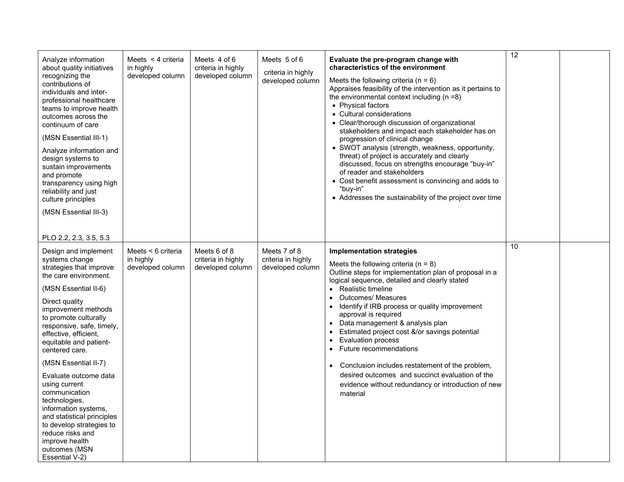| Analyze information<br>about quality initiatives<br>recognizing the<br>contributions of<br>individuals and inter-<br>professional healthcare<br>teams to improve health<br>outcomes across the<br>continuum of care<br>(MSN Essential III-1)<br>Analyze information and<br>design systems to<br>sustain improvements<br>and promote<br>transparency using high<br>reliability and just<br>culture principles<br>(MSN Essential III-3)<br>PLO 2.2, 2.3, 3.5, 5.3                                                                                       | Meets $\leq$ 4 criteria<br>in highly<br>developed column | Meets 4 of 6<br>criteria in highly<br>developed column | Meets 5 of 6<br>criteria in highly<br>developed column | Evaluate the pre-program change with<br>characteristics of the environment<br>Meets the following criteria ( $n = 6$ )<br>Appraises feasibility of the intervention as it pertains to<br>the environmental context including $(n = 8)$<br>• Physical factors<br>• Cultural considerations<br>• Clear/thorough discussion of organizational<br>stakeholders and impact each stakeholder has on<br>progression of clinical change<br>• SWOT analysis (strength, weakness, opportunity,<br>threat) of project is accurately and clearly<br>discussed, focus on strengths encourage "buy-in"<br>of reader and stakeholders<br>• Cost benefit assessment is convincing and adds to<br>"buy-in"<br>• Addresses the sustainability of the project over time | $\overline{12}$ |  |
|-------------------------------------------------------------------------------------------------------------------------------------------------------------------------------------------------------------------------------------------------------------------------------------------------------------------------------------------------------------------------------------------------------------------------------------------------------------------------------------------------------------------------------------------------------|----------------------------------------------------------|--------------------------------------------------------|--------------------------------------------------------|------------------------------------------------------------------------------------------------------------------------------------------------------------------------------------------------------------------------------------------------------------------------------------------------------------------------------------------------------------------------------------------------------------------------------------------------------------------------------------------------------------------------------------------------------------------------------------------------------------------------------------------------------------------------------------------------------------------------------------------------------|-----------------|--|
| Design and implement<br>systems change<br>strategies that improve<br>the care environment.<br>(MSN Essential II-6)<br>Direct quality<br>improvement methods<br>to promote culturally<br>responsive, safe, timely,<br>effective, efficient,<br>equitable and patient-<br>centered care.<br>(MSN Essential II-7)<br>Evaluate outcome data<br>using current<br>communication<br>technologies,<br>information systems,<br>and statistical principles<br>to develop strategies to<br>reduce risks and<br>improve health<br>outcomes (MSN<br>Essential V-2) | Meets < 6 criteria<br>in highly<br>developed column      | Meets 6 of 8<br>criteria in highly<br>developed column | Meets 7 of 8<br>criteria in highly<br>developed column | <b>Implementation strategies</b><br>Meets the following criteria ( $n = 8$ )<br>Outline steps for implementation plan of proposal in a<br>logical sequence, detailed and clearly stated<br>Realistic timeline<br><b>Outcomes/ Measures</b><br>Identify if IRB process or quality improvement<br>approval is required<br>Data management & analysis plan<br>Estimated project cost &/or savings potential<br><b>Evaluation process</b><br>Future recommendations<br>$\bullet$<br>Conclusion includes restatement of the problem,<br>$\bullet$<br>desired outcomes and succinct evaluation of the<br>evidence without redundancy or introduction of new<br>material                                                                                    | 10              |  |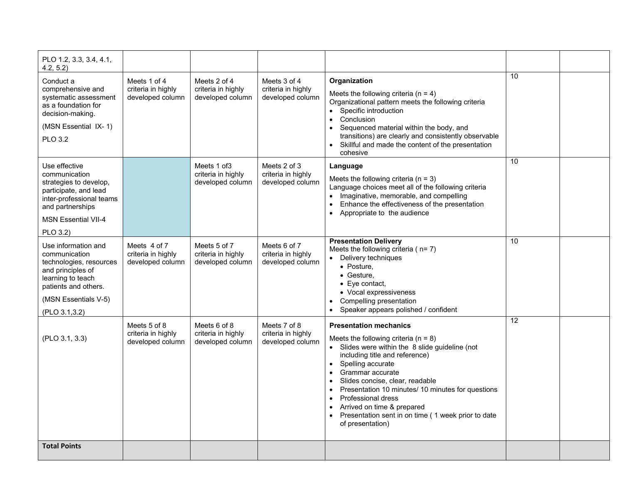| PLO 1.2, 3.3, 3.4, 4.1,<br>4.2, 5.2                                                                                                                                         |                                                        |                                                        |                                                        |                                                                                                                                                                                                                                                                                                                                                                                                                                                                                            |    |  |
|-----------------------------------------------------------------------------------------------------------------------------------------------------------------------------|--------------------------------------------------------|--------------------------------------------------------|--------------------------------------------------------|--------------------------------------------------------------------------------------------------------------------------------------------------------------------------------------------------------------------------------------------------------------------------------------------------------------------------------------------------------------------------------------------------------------------------------------------------------------------------------------------|----|--|
| Conduct a<br>comprehensive and<br>systematic assessment<br>as a foundation for<br>decision-making.<br>(MSN Essential IX-1)<br><b>PLO 3.2</b>                                | Meets 1 of 4<br>criteria in highly<br>developed column | Meets 2 of 4<br>criteria in highly<br>developed column | Meets 3 of 4<br>criteria in highly<br>developed column | Organization<br>Meets the following criteria (n = 4)<br>Organizational pattern meets the following criteria<br>Specific introduction<br>Conclusion<br>$\bullet$<br>Sequenced material within the body, and<br>transitions) are clearly and consistently observable<br>Skillful and made the content of the presentation<br>cohesive                                                                                                                                                        | 10 |  |
| Use effective<br>communication<br>strategies to develop,<br>participate, and lead<br>inter-professional teams<br>and partnerships<br><b>MSN Essential VII-4</b><br>PLO 3.2) |                                                        | Meets 1 of 3<br>criteria in highly<br>developed column | Meets 2 of 3<br>criteria in highly<br>developed column | Language<br>Meets the following criteria ( $n = 3$ )<br>Language choices meet all of the following criteria<br>Imaginative, memorable, and compelling<br>$\bullet$<br>Enhance the effectiveness of the presentation<br>Appropriate to the audience                                                                                                                                                                                                                                         | 10 |  |
| Use information and<br>communication<br>technologies, resources<br>and principles of<br>learning to teach<br>patients and others.<br>(MSN Essentials V-5)<br>(PLO 3.1,3.2)  | Meets 4 of 7<br>criteria in highly<br>developed column | Meets 5 of 7<br>criteria in highly<br>developed column | Meets 6 of 7<br>criteria in highly<br>developed column | <b>Presentation Delivery</b><br>Meets the following criteria ( $n=7$ )<br>Delivery techniques<br>• Posture,<br>• Gesture.<br>$\bullet$ Eye contact,<br>• Vocal expressiveness<br>Compelling presentation<br>Speaker appears polished / confident<br>$\bullet$                                                                                                                                                                                                                              | 10 |  |
| (PLO 3.1, 3.3)                                                                                                                                                              | Meets 5 of 8<br>criteria in highly<br>developed column | Meets 6 of 8<br>criteria in highly<br>developed column | Meets 7 of 8<br>criteria in highly<br>developed column | <b>Presentation mechanics</b><br>Meets the following criteria ( $n = 8$ )<br>• Slides were within the 8 slide guideline (not<br>including title and reference)<br>• Spelling accurate<br>Grammar accurate<br>$\bullet$<br>Slides concise, clear, readable<br>$\bullet$<br>Presentation 10 minutes/ 10 minutes for questions<br>$\bullet$<br><b>Professional dress</b><br>$\bullet$<br>Arrived on time & prepared<br>Presentation sent in on time (1 week prior to date<br>of presentation) | 12 |  |
| <b>Total Points</b>                                                                                                                                                         |                                                        |                                                        |                                                        |                                                                                                                                                                                                                                                                                                                                                                                                                                                                                            |    |  |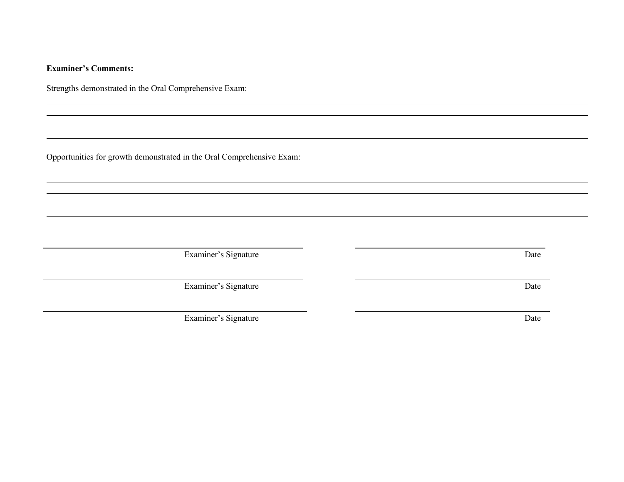### **Examiner's Comments:**

Strengths demonstrated in the Oral Comprehensive Exam:

Opportunities for growth demonstrated in the Oral Comprehensive Exam:

Examiner's Signature Date

Examiner's Signature Date

Examiner's Signature Date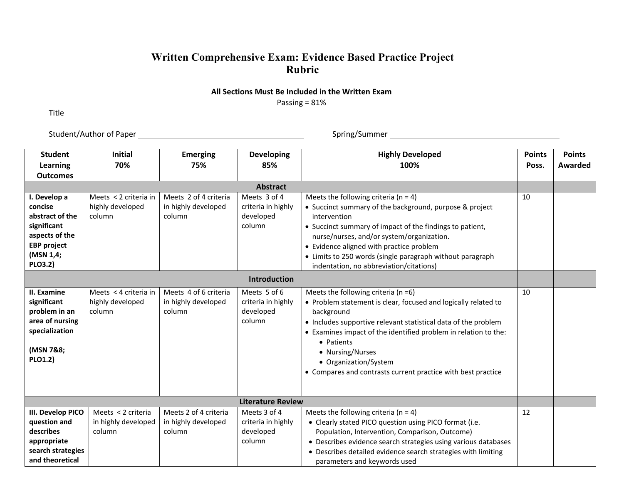## **Written Comprehensive Exam: Evidence Based Practice Project Rubric**

#### **All Sections Must Be Included in the Written Exam** Passing = 81%

Title

Student/Author of Paper Spring/Summer

| <b>Student</b><br>Learning<br><b>Outcomes</b>                                                                                    | <b>Initial</b><br>70%                               | <b>Emerging</b><br>75%                                 | <b>Developing</b><br>85%                                  | <b>Highly Developed</b><br>100%                                                                                                                                                                                                                                                                                                                                                          | <b>Points</b><br>Poss. | <b>Points</b><br>Awarded |
|----------------------------------------------------------------------------------------------------------------------------------|-----------------------------------------------------|--------------------------------------------------------|-----------------------------------------------------------|------------------------------------------------------------------------------------------------------------------------------------------------------------------------------------------------------------------------------------------------------------------------------------------------------------------------------------------------------------------------------------------|------------------------|--------------------------|
| <b>Abstract</b>                                                                                                                  |                                                     |                                                        |                                                           |                                                                                                                                                                                                                                                                                                                                                                                          |                        |                          |
| I. Develop a<br>concise<br>abstract of the<br>significant<br>aspects of the<br><b>EBP</b> project<br>(MSN 1,4;<br><b>PLO3.2)</b> | Meets < 2 criteria in<br>highly developed<br>column | Meets 2 of 4 criteria<br>in highly developed<br>column | Meets 3 of 4<br>criteria in highly<br>developed<br>column | Meets the following criteria ( $n = 4$ )<br>• Succinct summary of the background, purpose & project<br>intervention<br>• Succinct summary of impact of the findings to patient,<br>nurse/nurses, and/or system/organization.<br>• Evidence aligned with practice problem<br>• Limits to 250 words (single paragraph without paragraph<br>indentation, no abbreviation/citations)         | 10                     |                          |
|                                                                                                                                  |                                                     |                                                        | <b>Introduction</b>                                       |                                                                                                                                                                                                                                                                                                                                                                                          |                        |                          |
| II. Examine<br>significant<br>problem in an<br>area of nursing<br>specialization<br>(MSN 7&8;<br>PLO1.2)                         | Meets < 4 criteria in<br>highly developed<br>column | Meets 4 of 6 criteria<br>in highly developed<br>column | Meets 5 of 6<br>criteria in highly<br>developed<br>column | Meets the following criteria ( $n = 6$ )<br>• Problem statement is clear, focused and logically related to<br>background<br>• Includes supportive relevant statistical data of the problem<br>• Examines impact of the identified problem in relation to the:<br>• Patients<br>• Nursing/Nurses<br>• Organization/System<br>• Compares and contrasts current practice with best practice | 10                     |                          |
| <b>Literature Review</b>                                                                                                         |                                                     |                                                        |                                                           |                                                                                                                                                                                                                                                                                                                                                                                          |                        |                          |
| III. Develop PICO<br>question and<br>describes<br>appropriate<br>search strategies<br>and theoretical                            | Meets < 2 criteria<br>in highly developed<br>column | Meets 2 of 4 criteria<br>in highly developed<br>column | Meets 3 of 4<br>criteria in highly<br>developed<br>column | Meets the following criteria ( $n = 4$ )<br>• Clearly stated PICO question using PICO format (i.e.<br>Population, Intervention, Comparison, Outcome)<br>• Describes evidence search strategies using various databases<br>• Describes detailed evidence search strategies with limiting<br>parameters and keywords used                                                                  | 12                     |                          |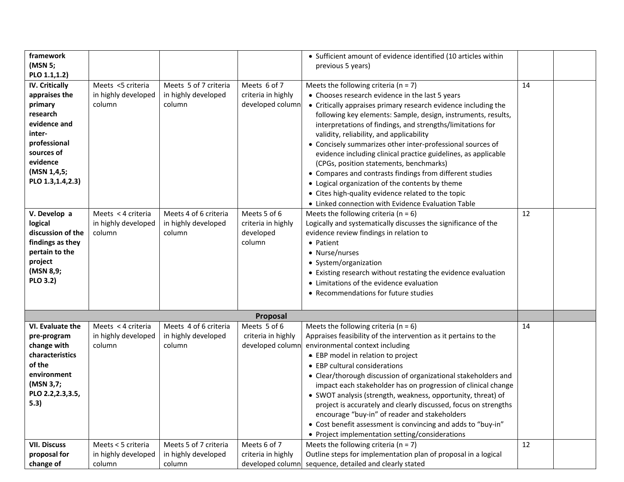| framework<br>(MSN 5;                                                                                                                                                                 |                                                     |                                                        |                                                           | • Sufficient amount of evidence identified (10 articles within<br>previous 5 years)                                                                                                                                                                                                                                                                                                                                                                                                                                                                                                                                                                                                      |    |  |
|--------------------------------------------------------------------------------------------------------------------------------------------------------------------------------------|-----------------------------------------------------|--------------------------------------------------------|-----------------------------------------------------------|------------------------------------------------------------------------------------------------------------------------------------------------------------------------------------------------------------------------------------------------------------------------------------------------------------------------------------------------------------------------------------------------------------------------------------------------------------------------------------------------------------------------------------------------------------------------------------------------------------------------------------------------------------------------------------------|----|--|
| PLO 1.1,1.2)<br><b>IV. Critically</b><br>appraises the<br>primary<br>research<br>evidence and<br>inter-<br>professional<br>sources of<br>evidence<br>(MSN 1,4,5;<br>PLO 1.3,1.4,2.3) | Meets <5 criteria<br>in highly developed<br>column  | Meets 5 of 7 criteria<br>in highly developed<br>column | Meets 6 of 7<br>criteria in highly<br>developed column    | Meets the following criteria ( $n = 7$ )<br>• Chooses research evidence in the last 5 years<br>• Critically appraises primary research evidence including the<br>following key elements: Sample, design, instruments, results,<br>interpretations of findings, and strengths/limitations for<br>validity, reliability, and applicability<br>• Concisely summarizes other inter-professional sources of<br>evidence including clinical practice guidelines, as applicable<br>(CPGs, position statements, benchmarks)<br>• Compares and contrasts findings from different studies<br>• Logical organization of the contents by theme<br>• Cites high-quality evidence related to the topic | 14 |  |
| V. Develop a<br>logical<br>discussion of the<br>findings as they<br>pertain to the<br>project<br>(MSN 8,9;<br><b>PLO 3.2)</b>                                                        | Meets < 4 criteria<br>in highly developed<br>column | Meets 4 of 6 criteria<br>in highly developed<br>column | Meets 5 of 6<br>criteria in highly<br>developed<br>column | • Linked connection with Evidence Evaluation Table<br>Meets the following criteria ( $n = 6$ )<br>Logically and systematically discusses the significance of the<br>evidence review findings in relation to<br>• Patient<br>• Nurse/nurses<br>• System/organization<br>• Existing research without restating the evidence evaluation<br>• Limitations of the evidence evaluation<br>• Recommendations for future studies                                                                                                                                                                                                                                                                 | 12 |  |
|                                                                                                                                                                                      |                                                     |                                                        | Proposal                                                  |                                                                                                                                                                                                                                                                                                                                                                                                                                                                                                                                                                                                                                                                                          |    |  |
| VI. Evaluate the<br>pre-program<br>change with<br>characteristics<br>of the<br>environment<br>(MSN 3,7;<br>PLO 2.2, 2.3, 3.5,<br>5.3)                                                | Meets < 4 criteria<br>in highly developed<br>column | Meets 4 of 6 criteria<br>in highly developed<br>column | Meets 5 of 6<br>criteria in highly<br>developed column    | Meets the following criteria ( $n = 6$ )<br>Appraises feasibility of the intervention as it pertains to the<br>environmental context including<br>• EBP model in relation to project<br>• EBP cultural considerations<br>• Clear/thorough discussion of organizational stakeholders and<br>impact each stakeholder has on progression of clinical change<br>• SWOT analysis (strength, weakness, opportunity, threat) of<br>project is accurately and clearly discussed, focus on strengths<br>encourage "buy-in" of reader and stakeholders<br>• Cost benefit assessment is convincing and adds to "buy-in"<br>• Project implementation setting/considerations                          | 14 |  |
| <b>VII. Discuss</b><br>proposal for<br>change of                                                                                                                                     | Meets < 5 criteria<br>in highly developed<br>column | Meets 5 of 7 criteria<br>in highly developed<br>column | Meets 6 of 7<br>criteria in highly                        | Meets the following criteria ( $n = 7$ )<br>Outline steps for implementation plan of proposal in a logical<br>developed column sequence, detailed and clearly stated                                                                                                                                                                                                                                                                                                                                                                                                                                                                                                                     | 12 |  |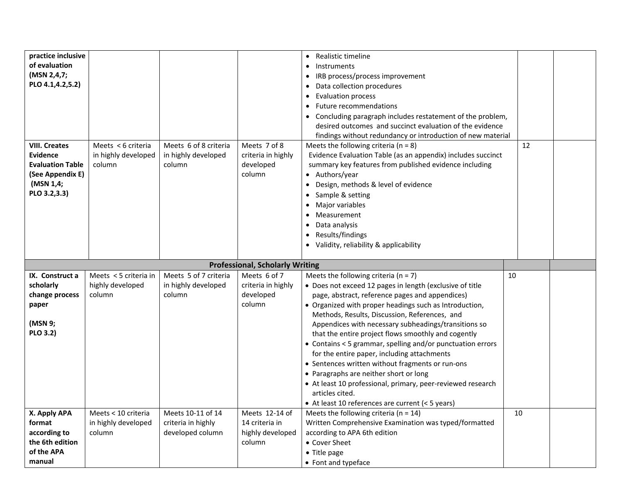|                                     |                       |                       |                                        | • Realistic timeline                                                   |    |  |
|-------------------------------------|-----------------------|-----------------------|----------------------------------------|------------------------------------------------------------------------|----|--|
| practice inclusive<br>of evaluation |                       |                       |                                        |                                                                        |    |  |
|                                     |                       |                       |                                        | Instruments<br>$\bullet$                                               |    |  |
| (MSN 2,4,7;                         |                       |                       |                                        | IRB process/process improvement<br>$\bullet$                           |    |  |
| PLO 4.1,4.2,5.2)                    |                       |                       |                                        | Data collection procedures<br>٠                                        |    |  |
|                                     |                       |                       |                                        | Evaluation process<br>٠                                                |    |  |
|                                     |                       |                       |                                        | <b>Future recommendations</b>                                          |    |  |
|                                     |                       |                       |                                        | Concluding paragraph includes restatement of the problem,<br>$\bullet$ |    |  |
|                                     |                       |                       |                                        | desired outcomes and succinct evaluation of the evidence               |    |  |
|                                     |                       |                       |                                        | findings without redundancy or introduction of new material            |    |  |
| <b>VIII. Creates</b>                | Meets < 6 criteria    | Meets 6 of 8 criteria | Meets 7 of 8                           | Meets the following criteria ( $n = 8$ )                               | 12 |  |
| <b>Evidence</b>                     | in highly developed   | in highly developed   | criteria in highly                     | Evidence Evaluation Table (as an appendix) includes succinct           |    |  |
| <b>Evaluation Table</b>             | column                | column                | developed                              | summary key features from published evidence including                 |    |  |
| (See Appendix E)                    |                       |                       | column                                 | • Authors/year                                                         |    |  |
| (MSN 1,4;                           |                       |                       |                                        | Design, methods & level of evidence<br>$\bullet$                       |    |  |
| PLO 3.2,3.3)                        |                       |                       |                                        | Sample & setting<br>٠                                                  |    |  |
|                                     |                       |                       |                                        | Major variables<br>٠                                                   |    |  |
|                                     |                       |                       |                                        | Measurement                                                            |    |  |
|                                     |                       |                       |                                        |                                                                        |    |  |
|                                     |                       |                       |                                        | Data analysis<br>٠                                                     |    |  |
|                                     |                       |                       |                                        | Results/findings                                                       |    |  |
|                                     |                       |                       |                                        | • Validity, reliability & applicability                                |    |  |
|                                     |                       |                       |                                        |                                                                        |    |  |
|                                     |                       |                       |                                        |                                                                        |    |  |
|                                     |                       |                       | <b>Professional, Scholarly Writing</b> |                                                                        |    |  |
| IX. Construct a                     | Meets < 5 criteria in | Meets 5 of 7 criteria | Meets 6 of 7                           | Meets the following criteria ( $n = 7$ )                               | 10 |  |
| scholarly                           | highly developed      | in highly developed   | criteria in highly                     | • Does not exceed 12 pages in length (exclusive of title               |    |  |
| change process                      | column                | column                | developed                              | page, abstract, reference pages and appendices)                        |    |  |
| paper                               |                       |                       | column                                 | • Organized with proper headings such as Introduction,                 |    |  |
|                                     |                       |                       |                                        | Methods, Results, Discussion, References, and                          |    |  |
| (MSN 9;                             |                       |                       |                                        | Appendices with necessary subheadings/transitions so                   |    |  |
| <b>PLO 3.2)</b>                     |                       |                       |                                        | that the entire project flows smoothly and cogently                    |    |  |
|                                     |                       |                       |                                        | • Contains < 5 grammar, spelling and/or punctuation errors             |    |  |
|                                     |                       |                       |                                        | for the entire paper, including attachments                            |    |  |
|                                     |                       |                       |                                        | • Sentences written without fragments or run-ons                       |    |  |
|                                     |                       |                       |                                        | • Paragraphs are neither short or long                                 |    |  |
|                                     |                       |                       |                                        | • At least 10 professional, primary, peer-reviewed research            |    |  |
|                                     |                       |                       |                                        | articles cited.                                                        |    |  |
|                                     |                       |                       |                                        | • At least 10 references are current (< 5 years)                       |    |  |
| X. Apply APA                        | Meets < 10 criteria   | Meets 10-11 of 14     | Meets 12-14 of                         | Meets the following criteria ( $n = 14$ )                              | 10 |  |
| format                              | in highly developed   | criteria in highly    | 14 criteria in                         | Written Comprehensive Examination was typed/formatted                  |    |  |
| according to                        | column                | developed column      | highly developed                       | according to APA 6th edition                                           |    |  |
| the 6th edition                     |                       |                       | column                                 | • Cover Sheet                                                          |    |  |
| of the APA                          |                       |                       |                                        | • Title page                                                           |    |  |